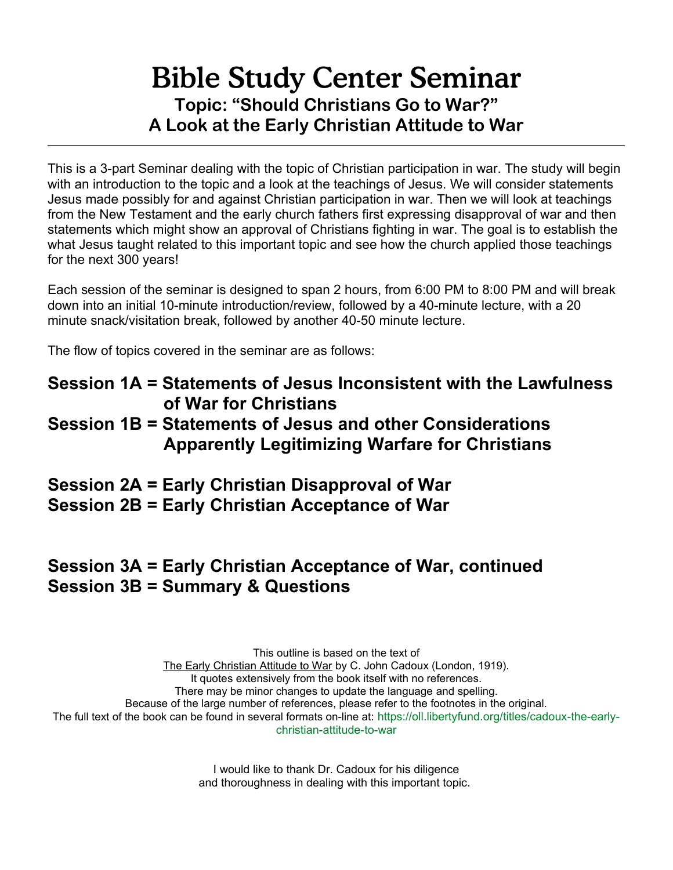# Bible Study Center Seminar **Topic: "Should Christians Go to War?" A Look at the Early Christian Attitude to War**

This is a 3-part Seminar dealing with the topic of Christian participation in war. The study will begin with an introduction to the topic and a look at the teachings of Jesus. We will consider statements Jesus made possibly for and against Christian participation in war. Then we will look at teachings from the New Testament and the early church fathers first expressing disapproval of war and then statements which might show an approval of Christians fighting in war. The goal is to establish the what Jesus taught related to this important topic and see how the church applied those teachings for the next 300 years!

Each session of the seminar is designed to span 2 hours, from 6:00 PM to 8:00 PM and will break down into an initial 10-minute introduction/review, followed by a 40-minute lecture, with a 20 minute snack/visitation break, followed by another 40-50 minute lecture.

The flow of topics covered in the seminar are as follows:

### **Session 1A = Statements of Jesus Inconsistent with the Lawfulness of War for Christians Session 1B = Statements of Jesus and other Considerations Apparently Legitimizing Warfare for Christians**

**Session 2A = Early Christian Disapproval of War Session 2B = Early Christian Acceptance of War**

# **Session 3A = Early Christian Acceptance of War, continued Session 3B = Summary & Questions**

This outline is based on the text of The Early Christian Attitude to War by C. John Cadoux (London, 1919). It quotes extensively from the book itself with no references. There may be minor changes to update the language and spelling. Because of the large number of references, please refer to the footnotes in the original. The full text of the book can be found in several formats on-line at: [https://oll.libertyfund.org/titles/cadoux-the-early](https://oll.libertyfund.org/titles/cadoux-the-early-christian-attitude-to-war)[christian-attitude-to-war](https://oll.libertyfund.org/titles/cadoux-the-early-christian-attitude-to-war)

> I would like to thank Dr. Cadoux for his diligence and thoroughness in dealing with this important topic.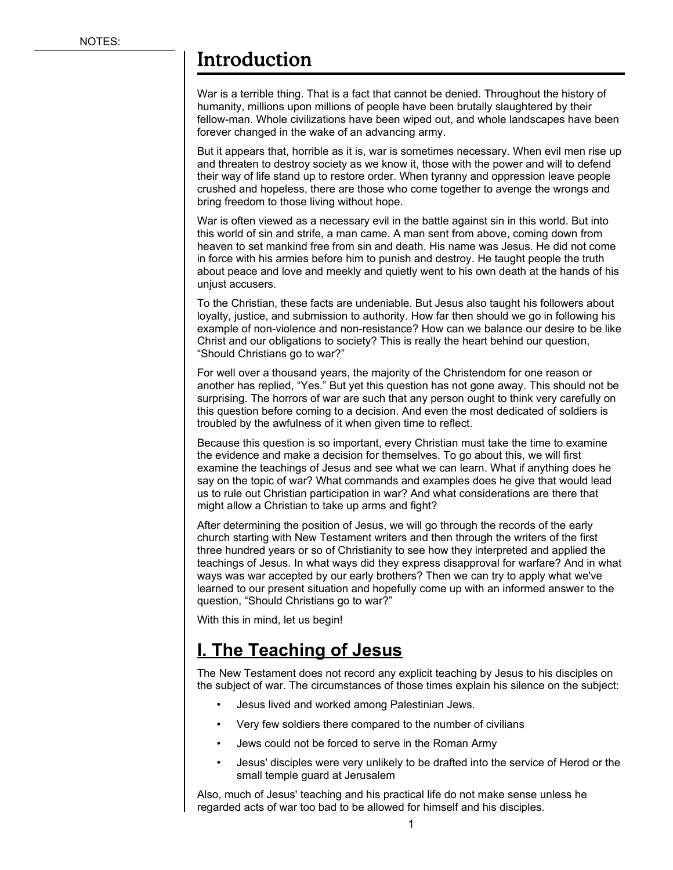### Introduction

War is a terrible thing. That is a fact that cannot be denied. Throughout the history of humanity, millions upon millions of people have been brutally slaughtered by their fellow-man. Whole civilizations have been wiped out, and whole landscapes have been forever changed in the wake of an advancing army.

But it appears that, horrible as it is, war is sometimes necessary. When evil men rise up and threaten to destroy society as we know it, those with the power and will to defend their way of life stand up to restore order. When tyranny and oppression leave people crushed and hopeless, there are those who come together to avenge the wrongs and bring freedom to those living without hope.

War is often viewed as a necessary evil in the battle against sin in this world. But into this world of sin and strife, a man came. A man sent from above, coming down from heaven to set mankind free from sin and death. His name was Jesus. He did not come in force with his armies before him to punish and destroy. He taught people the truth about peace and love and meekly and quietly went to his own death at the hands of his unjust accusers.

To the Christian, these facts are undeniable. But Jesus also taught his followers about loyalty, justice, and submission to authority. How far then should we go in following his example of non-violence and non-resistance? How can we balance our desire to be like Christ and our obligations to society? This is really the heart behind our question, "Should Christians go to war?"

For well over a thousand years, the majority of the Christendom for one reason or another has replied, "Yes." But yet this question has not gone away. This should not be surprising. The horrors of war are such that any person ought to think very carefully on this question before coming to a decision. And even the most dedicated of soldiers is troubled by the awfulness of it when given time to reflect.

Because this question is so important, every Christian must take the time to examine the evidence and make a decision for themselves. To go about this, we will first examine the teachings of Jesus and see what we can learn. What if anything does he say on the topic of war? What commands and examples does he give that would lead us to rule out Christian participation in war? And what considerations are there that might allow a Christian to take up arms and fight?

After determining the position of Jesus, we will go through the records of the early church starting with New Testament writers and then through the writers of the first three hundred years or so of Christianity to see how they interpreted and applied the teachings of Jesus. In what ways did they express disapproval for warfare? And in what ways was war accepted by our early brothers? Then we can try to apply what we've learned to our present situation and hopefully come up with an informed answer to the question, "Should Christians go to war?"

With this in mind, let us begin!

## **I. The Teaching of Jesus**

The New Testament does not record any explicit teaching by Jesus to his disciples on the subject of war. The circumstances of those times explain his silence on the subject:

- Jesus lived and worked among Palestinian Jews.
- Very few soldiers there compared to the number of civilians
- Jews could not be forced to serve in the Roman Army
- Jesus' disciples were very unlikely to be drafted into the service of Herod or the small temple guard at Jerusalem

Also, much of Jesus' teaching and his practical life do not make sense unless he regarded acts of war too bad to be allowed for himself and his disciples.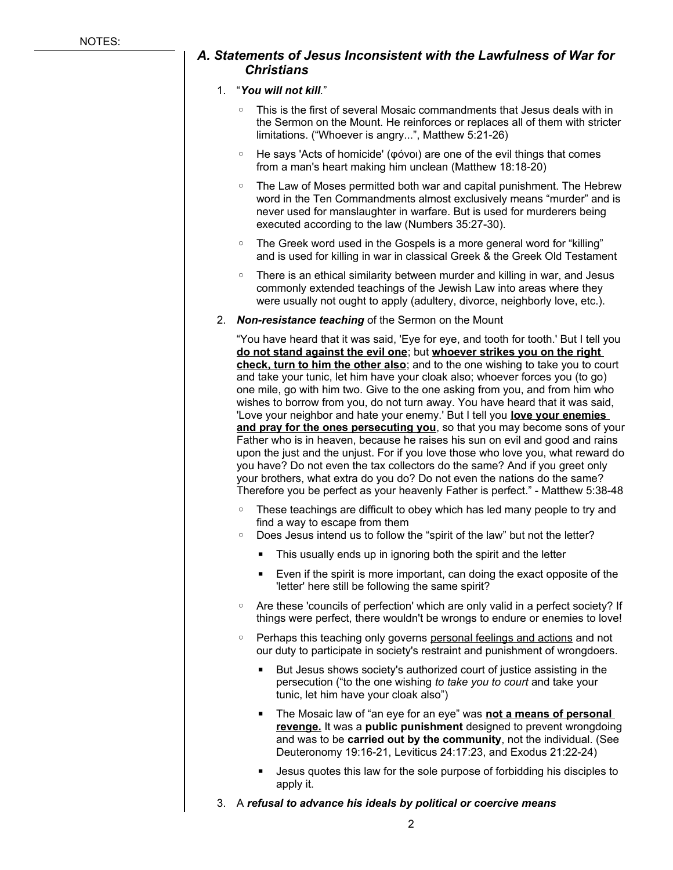### *A. Statements of Jesus Inconsistent with the Lawfulness of War for Christians*

#### 1. "*You will not kill.*"

- This is the first of several Mosaic commandments that Jesus deals with in the Sermon on the Mount. He reinforces or replaces all of them with stricter limitations. ("Whoever is angry...", Matthew 5:21-26)
- He says 'Acts of homicide' (φόνοι) are one of the evil things that comes from a man's heart making him unclean (Matthew 18:18-20)
- The Law of Moses permitted both war and capital punishment. The Hebrew word in the Ten Commandments almost exclusively means "murder" and is never used for manslaughter in warfare. But is used for murderers being executed according to the law (Numbers 35:27-30).
- The Greek word used in the Gospels is a more general word for "killing" and is used for killing in war in classical Greek & the Greek Old Testament
- There is an ethical similarity between murder and killing in war, and Jesus commonly extended teachings of the Jewish Law into areas where they were usually not ought to apply (adultery, divorce, neighborly love, etc.).
- 2. *Non-resistance teaching* of the Sermon on the Mount

"You have heard that it was said, 'Eye for eye, and tooth for tooth.' But I tell you **do not stand against the evil one**; but **whoever strikes you on the right check, turn to him the other also**; and to the one wishing to take you to court and take your tunic, let him have your cloak also; whoever forces you (to go) one mile, go with him two. Give to the one asking from you, and from him who wishes to borrow from you, do not turn away. You have heard that it was said, 'Love your neighbor and hate your enemy.' But I tell you **love your enemies**  and pray for the ones persecuting you, so that you may become sons of your Father who is in heaven, because he raises his sun on evil and good and rains upon the just and the unjust. For if you love those who love you, what reward do you have? Do not even the tax collectors do the same? And if you greet only your brothers, what extra do you do? Do not even the nations do the same? Therefore you be perfect as your heavenly Father is perfect." - Matthew 5:38-48

- These teachings are difficult to obey which has led many people to try and find a way to escape from them
- Does Jesus intend us to follow the "spirit of the law" but not the letter?
	- **This usually ends up in ignoring both the spirit and the letter**
	- Even if the spirit is more important, can doing the exact opposite of the 'letter' here still be following the same spirit?
- Are these 'councils of perfection' which are only valid in a perfect society? If things were perfect, there wouldn't be wrongs to endure or enemies to love!
- Perhaps this teaching only governs personal feelings and actions and not our duty to participate in society's restraint and punishment of wrongdoers.
	- But Jesus shows society's authorized court of justice assisting in the persecution ("to the one wishing *to take you to court* and take your tunic, let him have your cloak also")
	- The Mosaic law of "an eye for an eye" was **not a means of personal revenge.** It was a **public punishment** designed to prevent wrongdoing and was to be **carried out by the community**, not the individual. (See Deuteronomy 19:16-21, Leviticus 24:17:23, and Exodus 21:22-24)
	- Jesus quotes this law for the sole purpose of forbidding his disciples to apply it.
- 3. A *refusal to advance his ideals by political or coercive means*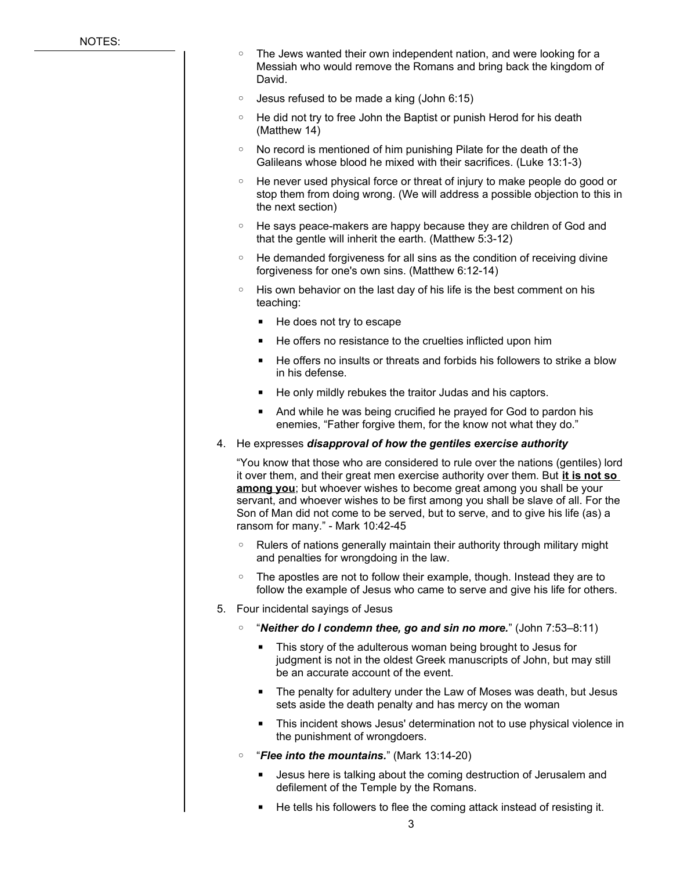- The Jews wanted their own independent nation, and were looking for a Messiah who would remove the Romans and bring back the kingdom of David.
- Jesus refused to be made a king (John 6:15)
- He did not try to free John the Baptist or punish Herod for his death (Matthew 14)
- No record is mentioned of him punishing Pilate for the death of the Galileans whose blood he mixed with their sacrifices. (Luke 13:1-3)
- He never used physical force or threat of injury to make people do good or stop them from doing wrong. (We will address a possible objection to this in the next section)
- He says peace-makers are happy because they are children of God and that the gentle will inherit the earth. (Matthew 5:3-12)
- He demanded forgiveness for all sins as the condition of receiving divine forgiveness for one's own sins. (Matthew 6:12-14)
- His own behavior on the last day of his life is the best comment on his teaching:
	- He does not try to escape
	- He offers no resistance to the cruelties inflicted upon him
	- He offers no insults or threats and forbids his followers to strike a blow in his defense.
	- He only mildly rebukes the traitor Judas and his captors.
	- And while he was being crucified he prayed for God to pardon his enemies, "Father forgive them, for the know not what they do."
- 4. He expresses *disapproval of how the gentiles exercise authority*

"You know that those who are considered to rule over the nations (gentiles) lord it over them, and their great men exercise authority over them. But **it is not so**  among you; but whoever wishes to become great among you shall be your servant, and whoever wishes to be first among you shall be slave of all. For the Son of Man did not come to be served, but to serve, and to give his life (as) a ransom for many." - Mark 10:42-45

- Rulers of nations generally maintain their authority through military might and penalties for wrongdoing in the law.
- The apostles are not to follow their example, though. Instead they are to follow the example of Jesus who came to serve and give his life for others.
- 5. Four incidental sayings of Jesus
	- "*Neither do I condemn thee, go and sin no more.*" (John 7:53–8:11)
		- This story of the adulterous woman being brought to Jesus for judgment is not in the oldest Greek manuscripts of John, but may still be an accurate account of the event.
		- The penalty for adultery under the Law of Moses was death, but Jesus sets aside the death penalty and has mercy on the woman
		- **EXT** This incident shows Jesus' determination not to use physical violence in the punishment of wrongdoers.
	- "*Flee into the mountains.*" (Mark 13:14-20)
		- Jesus here is talking about the coming destruction of Jerusalem and defilement of the Temple by the Romans.
		- He tells his followers to flee the coming attack instead of resisting it.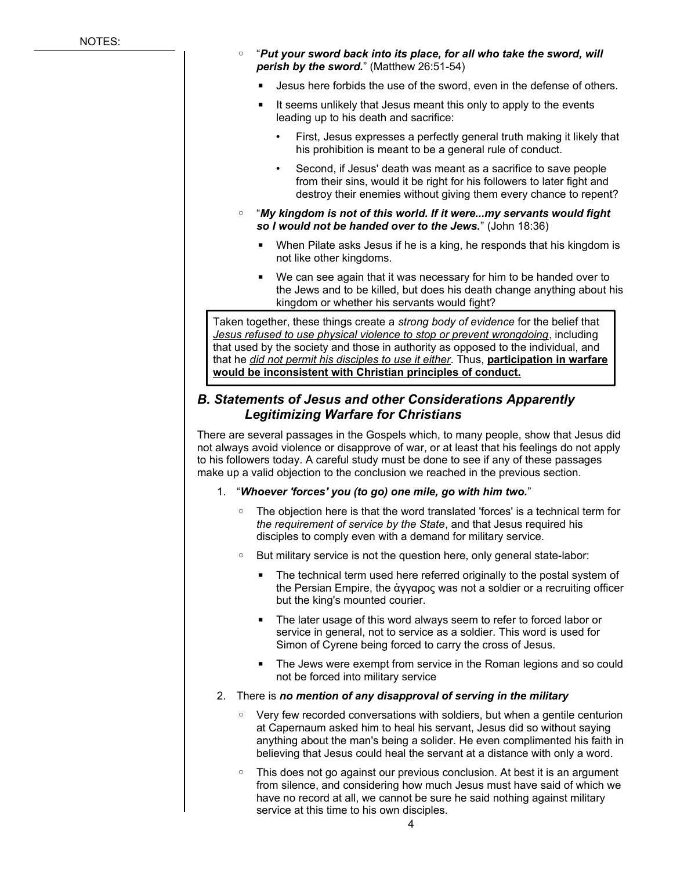- "*Put your sword back into its place, for all who take the sword, will perish by the sword.*" (Matthew 26:51-54)
	- Jesus here forbids the use of the sword, even in the defense of others.
	- It seems unlikely that Jesus meant this only to apply to the events leading up to his death and sacrifice:
		- First, Jesus expresses a perfectly general truth making it likely that his prohibition is meant to be a general rule of conduct.
		- Second, if Jesus' death was meant as a sacrifice to save people from their sins, would it be right for his followers to later fight and destroy their enemies without giving them every chance to repent?
- "*My kingdom is not of this world. If it were...my servants would fight so I would not be handed over to the Jews.*" (John 18:36)
	- When Pilate asks Jesus if he is a king, he responds that his kingdom is not like other kingdoms.
	- We can see again that it was necessary for him to be handed over to the Jews and to be killed, but does his death change anything about his kingdom or whether his servants would fight?

Taken together, these things create a *strong body of evidence* for the belief that *Jesus refused to use physical violence to stop or prevent wrongdoing*, including that used by the society and those in authority as opposed to the individual, and that he *did not permit his disciples to use it either*. Thus, **participation in warfare would be inconsistent with Christian principles of conduct.**

### *B. Statements of Jesus and other Considerations Apparently Legitimizing Warfare for Christians*

There are several passages in the Gospels which, to many people, show that Jesus did not always avoid violence or disapprove of war, or at least that his feelings do not apply to his followers today. A careful study must be done to see if any of these passages make up a valid objection to the conclusion we reached in the previous section.

- 1. "*Whoever 'forces' you (to go) one mile, go with him two.*"
	- The objection here is that the word translated 'forces' is a technical term for *the requirement of service by the State*, and that Jesus required his disciples to comply even with a demand for military service.
	- But military service is not the question here, only general state-labor:
		- The technical term used here referred originally to the postal system of the Persian Empire, the ἀγγαρος was not a soldier or a recruiting officer but the king's mounted courier.
		- The later usage of this word always seem to refer to forced labor or service in general, not to service as a soldier. This word is used for Simon of Cyrene being forced to carry the cross of Jesus.
		- The Jews were exempt from service in the Roman legions and so could not be forced into military service
- 2. There is *no mention of any disapproval of serving in the military*
	- Very few recorded conversations with soldiers, but when a gentile centurion at Capernaum asked him to heal his servant, Jesus did so without saying anything about the man's being a solider. He even complimented his faith in believing that Jesus could heal the servant at a distance with only a word.
	- This does not go against our previous conclusion. At best it is an argument from silence, and considering how much Jesus must have said of which we have no record at all, we cannot be sure he said nothing against military service at this time to his own disciples.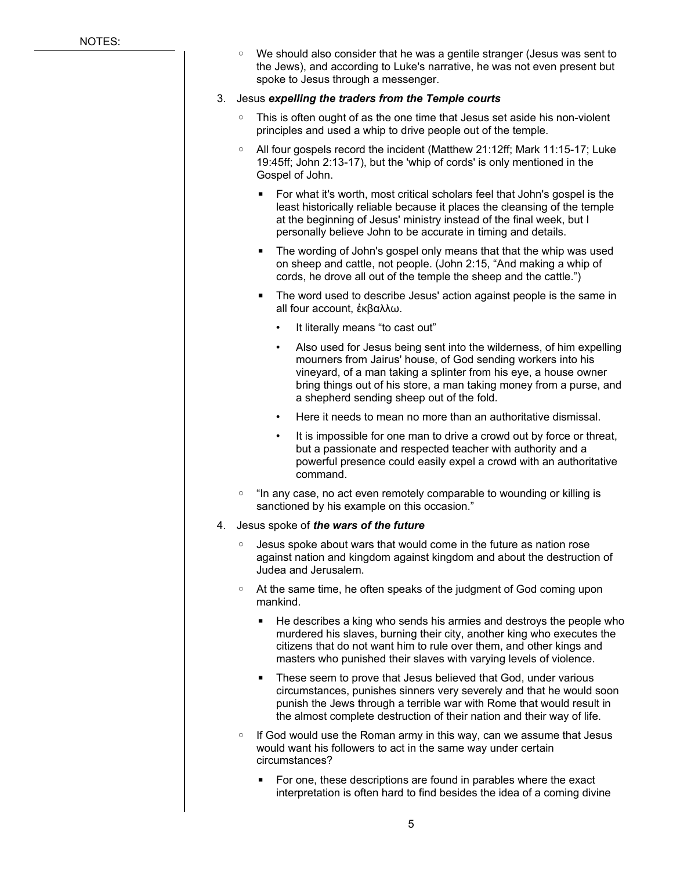◦ We should also consider that he was a gentile stranger (Jesus was sent to the Jews), and according to Luke's narrative, he was not even present but spoke to Jesus through a messenger.

#### 3. Jesus *expelling the traders from the Temple courts*

- This is often ought of as the one time that Jesus set aside his non-violent principles and used a whip to drive people out of the temple.
- All four gospels record the incident (Matthew 21:12ff; Mark 11:15-17; Luke 19:45ff; John 2:13-17), but the 'whip of cords' is only mentioned in the Gospel of John.
	- For what it's worth, most critical scholars feel that John's gospel is the least historically reliable because it places the cleansing of the temple at the beginning of Jesus' ministry instead of the final week, but I personally believe John to be accurate in timing and details.
	- The wording of John's gospel only means that that the whip was used on sheep and cattle, not people. (John 2:15, "And making a whip of cords, he drove all out of the temple the sheep and the cattle.")
	- The word used to describe Jesus' action against people is the same in all four account, ἐκβαλλω.
		- It literally means "to cast out"
		- Also used for Jesus being sent into the wilderness, of him expelling mourners from Jairus' house, of God sending workers into his vineyard, of a man taking a splinter from his eye, a house owner bring things out of his store, a man taking money from a purse, and a shepherd sending sheep out of the fold.
		- Here it needs to mean no more than an authoritative dismissal.
		- It is impossible for one man to drive a crowd out by force or threat, but a passionate and respected teacher with authority and a powerful presence could easily expel a crowd with an authoritative command.
- "In any case, no act even remotely comparable to wounding or killing is sanctioned by his example on this occasion."
- 4. Jesus spoke of *the wars of the future*
	- Jesus spoke about wars that would come in the future as nation rose against nation and kingdom against kingdom and about the destruction of Judea and Jerusalem.
	- At the same time, he often speaks of the judgment of God coming upon mankind.
		- He describes a king who sends his armies and destroys the people who murdered his slaves, burning their city, another king who executes the citizens that do not want him to rule over them, and other kings and masters who punished their slaves with varying levels of violence.
		- These seem to prove that Jesus believed that God, under various circumstances, punishes sinners very severely and that he would soon punish the Jews through a terrible war with Rome that would result in the almost complete destruction of their nation and their way of life.
	- If God would use the Roman army in this way, can we assume that Jesus would want his followers to act in the same way under certain circumstances?
		- For one, these descriptions are found in parables where the exact interpretation is often hard to find besides the idea of a coming divine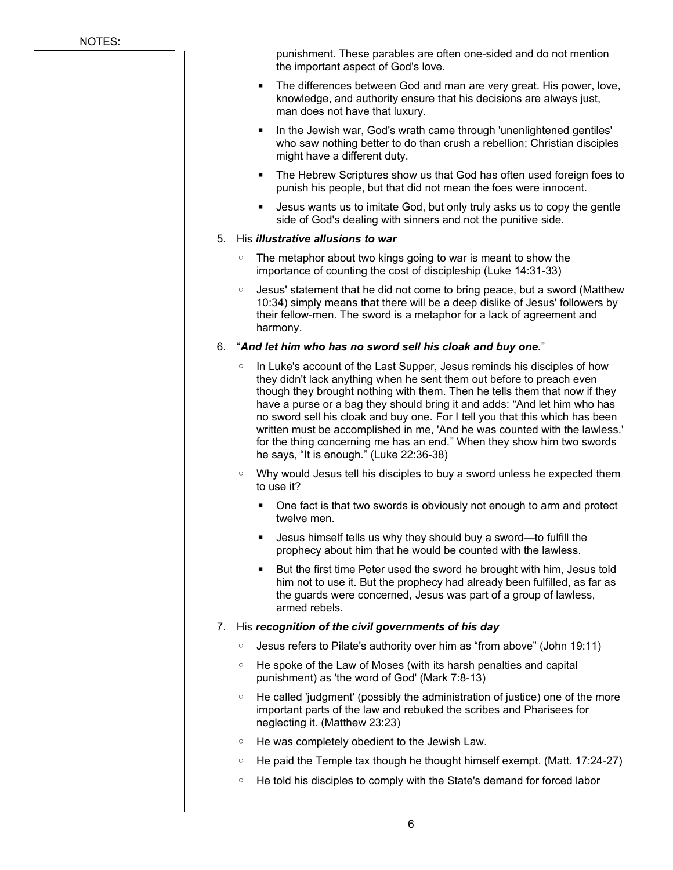punishment. These parables are often one-sided and do not mention the important aspect of God's love.

- The differences between God and man are very great. His power, love, knowledge, and authority ensure that his decisions are always just, man does not have that luxury.
- In the Jewish war, God's wrath came through 'unenlightened gentiles' who saw nothing better to do than crush a rebellion; Christian disciples might have a different duty.
- The Hebrew Scriptures show us that God has often used foreign foes to punish his people, but that did not mean the foes were innocent.
- Jesus wants us to imitate God, but only truly asks us to copy the gentle side of God's dealing with sinners and not the punitive side.

#### 5. His *illustrative allusions to war*

- The metaphor about two kings going to war is meant to show the importance of counting the cost of discipleship (Luke 14:31-33)
- Jesus' statement that he did not come to bring peace, but a sword (Matthew 10:34) simply means that there will be a deep dislike of Jesus' followers by their fellow-men. The sword is a metaphor for a lack of agreement and harmony.

#### 6. "*And let him who has no sword sell his cloak and buy one.*"

- In Luke's account of the Last Supper, Jesus reminds his disciples of how they didn't lack anything when he sent them out before to preach even though they brought nothing with them. Then he tells them that now if they have a purse or a bag they should bring it and adds: "And let him who has no sword sell his cloak and buy one. For I tell you that this which has been written must be accomplished in me, 'And he was counted with the lawless.' for the thing concerning me has an end." When they show him two swords he says, "It is enough." (Luke 22:36-38)
- Why would Jesus tell his disciples to buy a sword unless he expected them to use it?
	- One fact is that two swords is obviously not enough to arm and protect twelve men.
	- Jesus himself tells us why they should buy a sword—to fulfill the prophecy about him that he would be counted with the lawless.
	- But the first time Peter used the sword he brought with him, Jesus told him not to use it. But the prophecy had already been fulfilled, as far as the guards were concerned, Jesus was part of a group of lawless, armed rebels.

#### 7. His *recognition of the civil governments of his day*

- Jesus refers to Pilate's authority over him as "from above" (John 19:11)
- He spoke of the Law of Moses (with its harsh penalties and capital punishment) as 'the word of God' (Mark 7:8-13)
- He called 'judgment' (possibly the administration of justice) one of the more important parts of the law and rebuked the scribes and Pharisees for neglecting it. (Matthew 23:23)
- He was completely obedient to the Jewish Law.
- He paid the Temple tax though he thought himself exempt. (Matt. 17:24-27)
- He told his disciples to comply with the State's demand for forced labor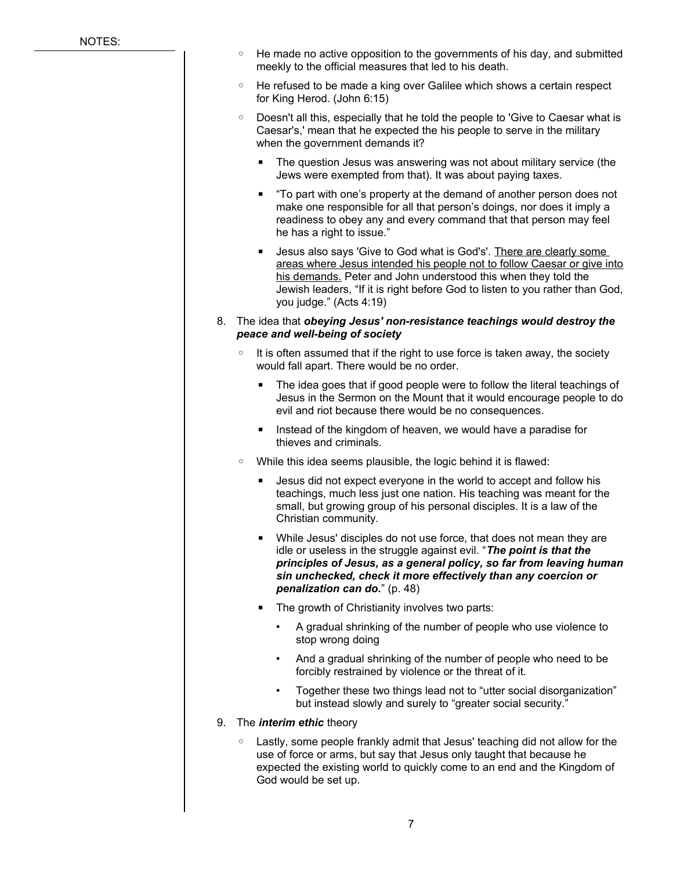- He made no active opposition to the governments of his day, and submitted meekly to the official measures that led to his death.
- He refused to be made a king over Galilee which shows a certain respect for King Herod. (John 6:15)
- Doesn't all this, especially that he told the people to 'Give to Caesar what is Caesar's,' mean that he expected the his people to serve in the military when the government demands it?
	- The question Jesus was answering was not about military service (the Jews were exempted from that). It was about paying taxes.
	- "To part with one's property at the demand of another person does not make one responsible for all that person's doings, nor does it imply a readiness to obey any and every command that that person may feel he has a right to issue."
	- **E** Jesus also says 'Give to God what is God's'. There are clearly some areas where Jesus intended his people not to follow Caesar or give into his demands. Peter and John understood this when they told the Jewish leaders, "If it is right before God to listen to you rather than God, you judge." (Acts 4:19)
- 8. The idea that *obeying Jesus' non-resistance teachings would destroy the peace and well-being of society*
	- It is often assumed that if the right to use force is taken away, the society would fall apart. There would be no order.
		- The idea goes that if good people were to follow the literal teachings of Jesus in the Sermon on the Mount that it would encourage people to do evil and riot because there would be no consequences.
		- Instead of the kingdom of heaven, we would have a paradise for thieves and criminals.
	- While this idea seems plausible, the logic behind it is flawed:
		- Jesus did not expect everyone in the world to accept and follow his teachings, much less just one nation. His teaching was meant for the small, but growing group of his personal disciples. It is a law of the Christian community.
		- While Jesus' disciples do not use force, that does not mean they are idle or useless in the struggle against evil. "*The point is that the principles of Jesus, as a general policy, so far from leaving human sin unchecked, check it more effectively than any coercion or penalization can do.*" (p. 48)
		- The growth of Christianity involves two parts:
			- A gradual shrinking of the number of people who use violence to stop wrong doing
			- And a gradual shrinking of the number of people who need to be forcibly restrained by violence or the threat of it.
			- Together these two things lead not to "utter social disorganization" but instead slowly and surely to "greater social security."
- 9. The *interim ethic* theory
	- Lastly, some people frankly admit that Jesus' teaching did not allow for the use of force or arms, but say that Jesus only taught that because he expected the existing world to quickly come to an end and the Kingdom of God would be set up.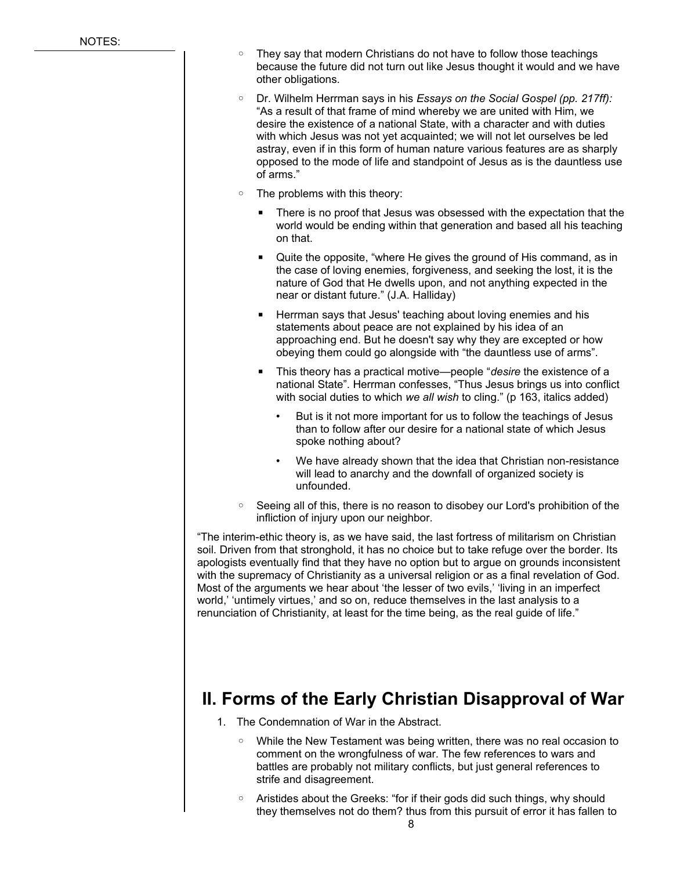- They say that modern Christians do not have to follow those teachings because the future did not turn out like Jesus thought it would and we have other obligations.
- Dr. Wilhelm Herrman says in his *Essays on the Social Gospel (pp. 217ff):* "As a result of that frame of mind whereby we are united with Him, we desire the existence of a national State, with a character and with duties with which Jesus was not yet acquainted; we will not let ourselves be led astray, even if in this form of human nature various features are as sharply opposed to the mode of life and standpoint of Jesus as is the dauntless use of arms."
- The problems with this theory:
	- There is no proof that Jesus was obsessed with the expectation that the world would be ending within that generation and based all his teaching on that.
	- Quite the opposite, "where He gives the ground of His command, as in the case of loving enemies, forgiveness, and seeking the lost, it is the nature of God that He dwells upon, and not anything expected in the near or distant future." (J.A. Halliday)
	- Herrman says that Jesus' teaching about loving enemies and his statements about peace are not explained by his idea of an approaching end. But he doesn't say why they are excepted or how obeying them could go alongside with "the dauntless use of arms".
	- This theory has a practical motive—people "*desire* the existence of a national State". Herrman confesses, "Thus Jesus brings us into conflict with social duties to which *we all wish* to cling." (p 163, italics added)
		- But is it not more important for us to follow the teachings of Jesus than to follow after our desire for a national state of which Jesus spoke nothing about?
		- We have already shown that the idea that Christian non-resistance will lead to anarchy and the downfall of organized society is unfounded.
- Seeing all of this, there is no reason to disobey our Lord's prohibition of the infliction of injury upon our neighbor.

"The interim-ethic theory is, as we have said, the last fortress of militarism on Christian soil. Driven from that stronghold, it has no choice but to take refuge over the border. Its apologists eventually find that they have no option but to argue on grounds inconsistent with the supremacy of Christianity as a universal religion or as a final revelation of God. Most of the arguments we hear about 'the lesser of two evils,' 'living in an imperfect world,' 'untimely virtues,' and so on, reduce themselves in the last analysis to a renunciation of Christianity, at least for the time being, as the real guide of life."

### **II. Forms of the Early Christian Disapproval of War**

- 1. The Condemnation of War in the Abstract.
	- While the New Testament was being written, there was no real occasion to comment on the wrongfulness of war. The few references to wars and battles are probably not military conflicts, but just general references to strife and disagreement.
	- Aristides about the Greeks: "for if their gods did such things, why should they themselves not do them? thus from this pursuit of error it has fallen to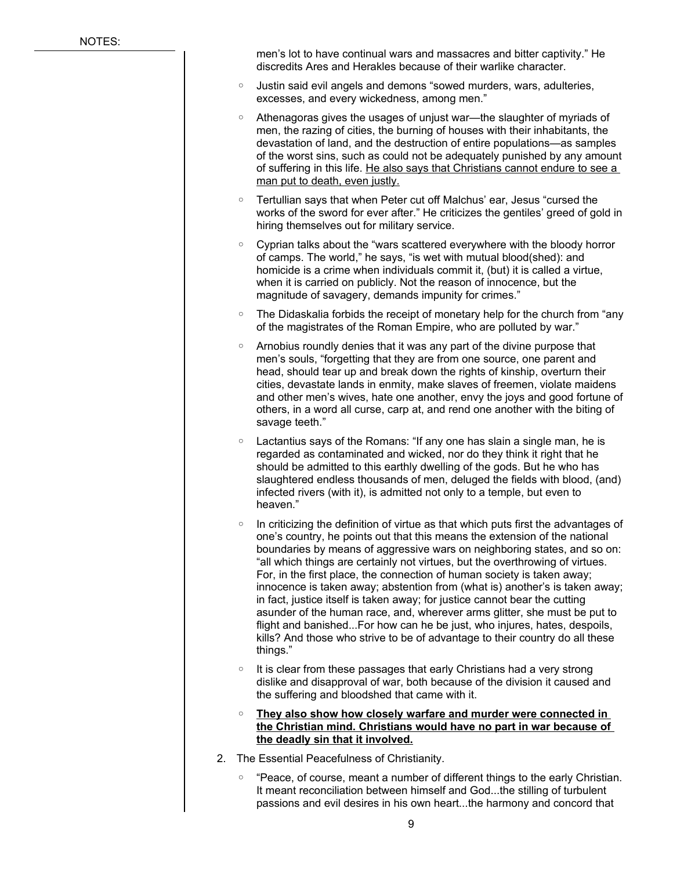men's lot to have continual wars and massacres and bitter captivity." He discredits Ares and Herakles because of their warlike character.

- Justin said evil angels and demons "sowed murders, wars, adulteries, excesses, and every wickedness, among men."
- Athenagoras gives the usages of unjust war—the slaughter of myriads of men, the razing of cities, the burning of houses with their inhabitants, the devastation of land, and the destruction of entire populations—as samples of the worst sins, such as could not be adequately punished by any amount of suffering in this life. He also says that Christians cannot endure to see a man put to death, even justly.
- Tertullian says that when Peter cut off Malchus' ear, Jesus "cursed the works of the sword for ever after." He criticizes the gentiles' greed of gold in hiring themselves out for military service.
- Cyprian talks about the "wars scattered everywhere with the bloody horror of camps. The world," he says, "is wet with mutual blood(shed): and homicide is a crime when individuals commit it, (but) it is called a virtue, when it is carried on publicly. Not the reason of innocence, but the magnitude of savagery, demands impunity for crimes."
- The Didaskalia forbids the receipt of monetary help for the church from "any of the magistrates of the Roman Empire, who are polluted by war."
- Arnobius roundly denies that it was any part of the divine purpose that men's souls, "forgetting that they are from one source, one parent and head, should tear up and break down the rights of kinship, overturn their cities, devastate lands in enmity, make slaves of freemen, violate maidens and other men's wives, hate one another, envy the joys and good fortune of others, in a word all curse, carp at, and rend one another with the biting of savage teeth."
- Lactantius says of the Romans: "If any one has slain a single man, he is regarded as contaminated and wicked, nor do they think it right that he should be admitted to this earthly dwelling of the gods. But he who has slaughtered endless thousands of men, deluged the fields with blood, (and) infected rivers (with it), is admitted not only to a temple, but even to heaven."
- In criticizing the definition of virtue as that which puts first the advantages of one's country, he points out that this means the extension of the national boundaries by means of aggressive wars on neighboring states, and so on: "all which things are certainly not virtues, but the overthrowing of virtues. For, in the first place, the connection of human society is taken away; innocence is taken away; abstention from (what is) another's is taken away; in fact, justice itself is taken away; for justice cannot bear the cutting asunder of the human race, and, wherever arms glitter, she must be put to flight and banished...For how can he be just, who injures, hates, despoils, kills? And those who strive to be of advantage to their country do all these things."
- It is clear from these passages that early Christians had a very strong dislike and disapproval of war, both because of the division it caused and the suffering and bloodshed that came with it.
- ◦ **They also show how closely warfare and murder were connected in the Christian mind. Christians would have no part in war because of the deadly sin that it involved.**
- 2. The Essential Peacefulness of Christianity.
	- "Peace, of course, meant a number of different things to the early Christian. It meant reconciliation between himself and God...the stilling of turbulent passions and evil desires in his own heart...the harmony and concord that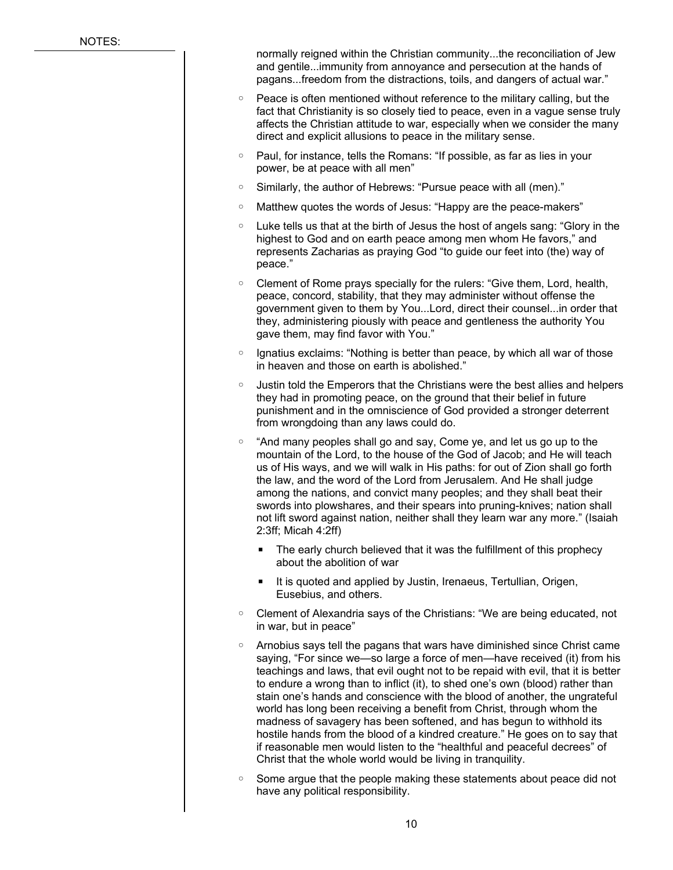normally reigned within the Christian community...the reconciliation of Jew and gentile...immunity from annoyance and persecution at the hands of pagans...freedom from the distractions, toils, and dangers of actual war."

- Peace is often mentioned without reference to the military calling, but the fact that Christianity is so closely tied to peace, even in a vague sense truly affects the Christian attitude to war, especially when we consider the many direct and explicit allusions to peace in the military sense.
- Paul, for instance, tells the Romans: "If possible, as far as lies in your power, be at peace with all men"
- Similarly, the author of Hebrews: "Pursue peace with all (men)."
- Matthew quotes the words of Jesus: "Happy are the peace-makers"
- Luke tells us that at the birth of Jesus the host of angels sang: "Glory in the highest to God and on earth peace among men whom He favors," and represents Zacharias as praying God "to guide our feet into (the) way of peace."
- Clement of Rome prays specially for the rulers: "Give them, Lord, health, peace, concord, stability, that they may administer without offense the government given to them by You...Lord, direct their counsel...in order that they, administering piously with peace and gentleness the authority You gave them, may find favor with You."
- Ignatius exclaims: "Nothing is better than peace, by which all war of those in heaven and those on earth is abolished."
- Justin told the Emperors that the Christians were the best allies and helpers they had in promoting peace, on the ground that their belief in future punishment and in the omniscience of God provided a stronger deterrent from wrongdoing than any laws could do.
- "And many peoples shall go and say, Come ye, and let us go up to the mountain of the Lord, to the house of the God of Jacob; and He will teach us of His ways, and we will walk in His paths: for out of Zion shall go forth the law, and the word of the Lord from Jerusalem. And He shall judge among the nations, and convict many peoples; and they shall beat their swords into plowshares, and their spears into pruning-knives; nation shall not lift sword against nation, neither shall they learn war any more." (Isaiah 2:3ff; Micah 4:2ff)
	- The early church believed that it was the fulfillment of this prophecy about the abolition of war
	- It is quoted and applied by Justin, Irenaeus, Tertullian, Origen, Eusebius, and others.
- Clement of Alexandria says of the Christians: "We are being educated, not in war, but in peace"
- Arnobius says tell the pagans that wars have diminished since Christ came saying, "For since we—so large a force of men—have received (it) from his teachings and laws, that evil ought not to be repaid with evil, that it is better to endure a wrong than to inflict (it), to shed one's own (blood) rather than stain one's hands and conscience with the blood of another, the ungrateful world has long been receiving a benefit from Christ, through whom the madness of savagery has been softened, and has begun to withhold its hostile hands from the blood of a kindred creature." He goes on to say that if reasonable men would listen to the "healthful and peaceful decrees" of Christ that the whole world would be living in tranquility.
- Some argue that the people making these statements about peace did not have any political responsibility.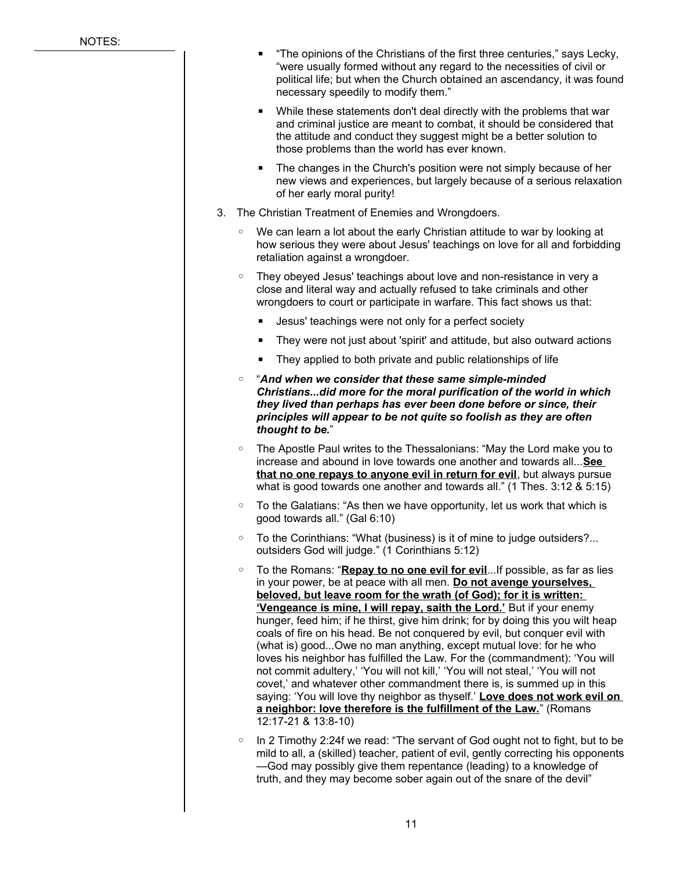- "The opinions of the Christians of the first three centuries," says Lecky, "were usually formed without any regard to the necessities of civil or political life; but when the Church obtained an ascendancy, it was found necessary speedily to modify them."
- While these statements don't deal directly with the problems that war and criminal justice are meant to combat, it should be considered that the attitude and conduct they suggest might be a better solution to those problems than the world has ever known.
- The changes in the Church's position were not simply because of her new views and experiences, but largely because of a serious relaxation of her early moral purity!
- 3. The Christian Treatment of Enemies and Wrongdoers.
	- We can learn a lot about the early Christian attitude to war by looking at how serious they were about Jesus' teachings on love for all and forbidding retaliation against a wrongdoer.
	- They obeyed Jesus' teachings about love and non-resistance in very a close and literal way and actually refused to take criminals and other wrongdoers to court or participate in warfare. This fact shows us that:
		- Jesus' teachings were not only for a perfect society
		- They were not just about 'spirit' and attitude, but also outward actions
		- They applied to both private and public relationships of life
	- "*And when we consider that these same simple-minded Christians...did more for the moral purification of the world in which they lived than perhaps has ever been done before or since, their principles will appear to be not quite so foolish as they are often thought to be.*"
	- The Apostle Paul writes to the Thessalonians: "May the Lord make you to increase and abound in love towards one another and towards all...**See that no one repays to anyone evil in return for evil**, but always pursue what is good towards one another and towards all." (1 Thes. 3:12 & 5:15)
	- To the Galatians: "As then we have opportunity, let us work that which is good towards all." (Gal 6:10)
	- To the Corinthians: "What (business) is it of mine to judge outsiders?... outsiders God will judge." (1 Corinthians 5:12)
	- To the Romans: "**Repay to no one evil for evil**...If possible, as far as lies in your power, be at peace with all men. **Do not avenge yourselves, beloved, but leave room for the wrath (of God); for it is written: 'Vengeance is mine, I will repay, saith the Lord.'** But if your enemy hunger, feed him; if he thirst, give him drink; for by doing this you wilt heap coals of fire on his head. Be not conquered by evil, but conquer evil with (what is) good...Owe no man anything, except mutual love: for he who loves his neighbor has fulfilled the Law. For the (commandment): 'You will not commit adultery,' 'You will not kill,' 'You will not steal,' 'You will not covet,' and whatever other commandment there is, is summed up in this saying: 'You will love thy neighbor as thyself.' **Love does not work evil on a neighbor: love therefore is the fulfillment of the Law.**" (Romans 12:17-21 & 13:8-10)
	- In 2 Timothy 2:24f we read: "The servant of God ought not to fight, but to be mild to all, a (skilled) teacher, patient of evil, gently correcting his opponents —God may possibly give them repentance (leading) to a knowledge of truth, and they may become sober again out of the snare of the devil"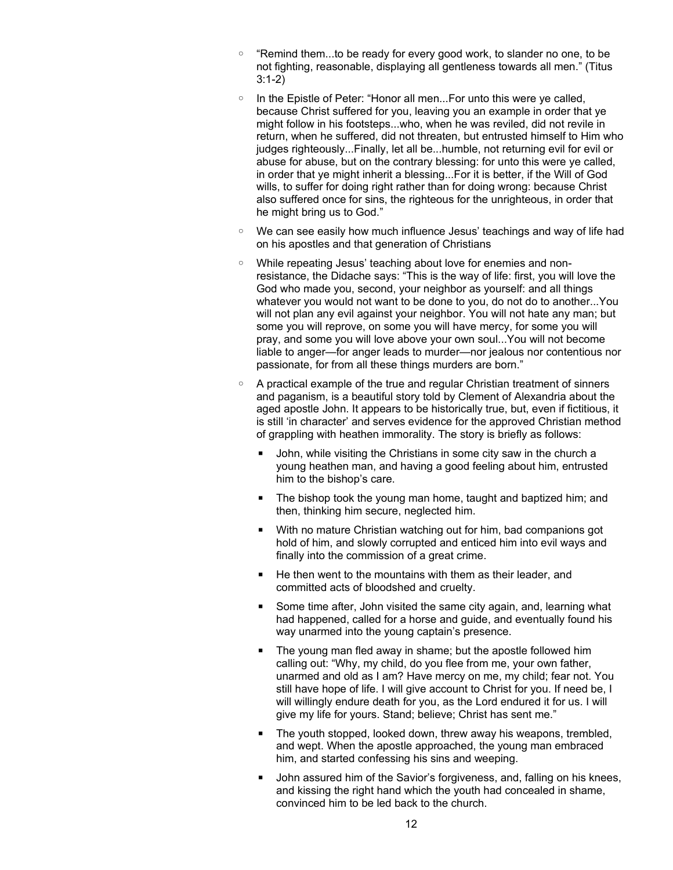- "Remind them...to be ready for every good work, to slander no one, to be not fighting, reasonable, displaying all gentleness towards all men." (Titus 3:1-2)
- In the Epistle of Peter: "Honor all men...For unto this were ye called, because Christ suffered for you, leaving you an example in order that ye might follow in his footsteps...who, when he was reviled, did not revile in return, when he suffered, did not threaten, but entrusted himself to Him who judges righteously...Finally, let all be...humble, not returning evil for evil or abuse for abuse, but on the contrary blessing: for unto this were ye called, in order that ye might inherit a blessing...For it is better, if the Will of God wills, to suffer for doing right rather than for doing wrong: because Christ also suffered once for sins, the righteous for the unrighteous, in order that he might bring us to God."
- We can see easily how much influence Jesus' teachings and way of life had on his apostles and that generation of Christians
- While repeating Jesus' teaching about love for enemies and nonresistance, the Didache says: "This is the way of life: first, you will love the God who made you, second, your neighbor as yourself: and all things whatever you would not want to be done to you, do not do to another...You will not plan any evil against your neighbor. You will not hate any man; but some you will reprove, on some you will have mercy, for some you will pray, and some you will love above your own soul...You will not become liable to anger—for anger leads to murder—nor jealous nor contentious nor passionate, for from all these things murders are born."
- A practical example of the true and regular Christian treatment of sinners and paganism, is a beautiful story told by Clement of Alexandria about the aged apostle John. It appears to be historically true, but, even if fictitious, it is still 'in character' and serves evidence for the approved Christian method of grappling with heathen immorality. The story is briefly as follows:
	- John, while visiting the Christians in some city saw in the church a young heathen man, and having a good feeling about him, entrusted him to the bishop's care.
	- The bishop took the young man home, taught and baptized him; and then, thinking him secure, neglected him.
	- With no mature Christian watching out for him, bad companions got hold of him, and slowly corrupted and enticed him into evil ways and finally into the commission of a great crime.
	- He then went to the mountains with them as their leader, and committed acts of bloodshed and cruelty.
	- Some time after, John visited the same city again, and, learning what had happened, called for a horse and guide, and eventually found his way unarmed into the young captain's presence.
	- The young man fled away in shame; but the apostle followed him calling out: "Why, my child, do you flee from me, your own father, unarmed and old as I am? Have mercy on me, my child; fear not. You still have hope of life. I will give account to Christ for you. If need be, I will willingly endure death for you, as the Lord endured it for us. I will give my life for yours. Stand; believe; Christ has sent me."
	- The youth stopped, looked down, threw away his weapons, trembled, and wept. When the apostle approached, the young man embraced him, and started confessing his sins and weeping.
	- John assured him of the Savior's forgiveness, and, falling on his knees, and kissing the right hand which the youth had concealed in shame, convinced him to be led back to the church.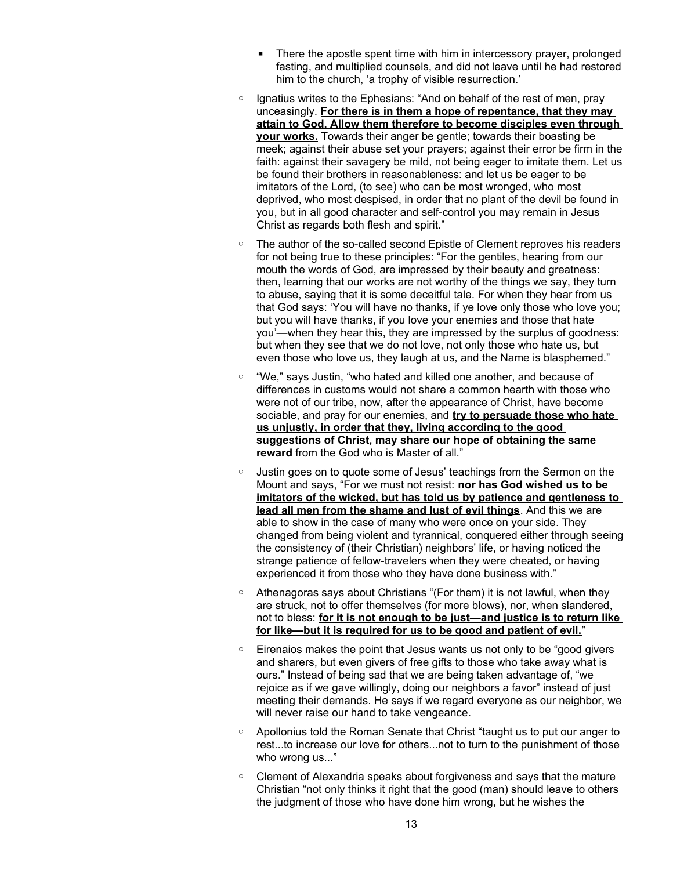- There the apostle spent time with him in intercessory prayer, prolonged fasting, and multiplied counsels, and did not leave until he had restored him to the church, 'a trophy of visible resurrection.'
- Ignatius writes to the Ephesians: "And on behalf of the rest of men, pray unceasingly. **For there is in them a hope of repentance, that they may attain to God. Allow them therefore to become disciples even through your works.** Towards their anger be gentle; towards their boasting be meek; against their abuse set your prayers; against their error be firm in the faith: against their savagery be mild, not being eager to imitate them. Let us be found their brothers in reasonableness: and let us be eager to be imitators of the Lord, (to see) who can be most wronged, who most deprived, who most despised, in order that no plant of the devil be found in you, but in all good character and self-control you may remain in Jesus Christ as regards both flesh and spirit."
- The author of the so-called second Epistle of Clement reproves his readers for not being true to these principles: "For the gentiles, hearing from our mouth the words of God, are impressed by their beauty and greatness: then, learning that our works are not worthy of the things we say, they turn to abuse, saying that it is some deceitful tale. For when they hear from us that God says: 'You will have no thanks, if ye love only those who love you; but you will have thanks, if you love your enemies and those that hate you'—when they hear this, they are impressed by the surplus of goodness: but when they see that we do not love, not only those who hate us, but even those who love us, they laugh at us, and the Name is blasphemed."
- "We," says Justin, "who hated and killed one another, and because of differences in customs would not share a common hearth with those who were not of our tribe, now, after the appearance of Christ, have become sociable, and pray for our enemies, and **try to persuade those who hate us unjustly, in order that they, living according to the good suggestions of Christ, may share our hope of obtaining the same reward** from the God who is Master of all."
- Justin goes on to quote some of Jesus' teachings from the Sermon on the Mount and says, "For we must not resist: **nor has God wished us to be imitators of the wicked, but has told us by patience and gentleness to lead all men from the shame and lust of evil things**. And this we are able to show in the case of many who were once on your side. They changed from being violent and tyrannical, conquered either through seeing the consistency of (their Christian) neighbors' life, or having noticed the strange patience of fellow-travelers when they were cheated, or having experienced it from those who they have done business with."
- Athenagoras says about Christians "(For them) it is not lawful, when they are struck, not to offer themselves (for more blows), nor, when slandered, not to bless: **for it is not enough to be just—and justice is to return like for like—but it is required for us to be good and patient of evil.**"
- Eirenaios makes the point that Jesus wants us not only to be "good givers and sharers, but even givers of free gifts to those who take away what is ours." Instead of being sad that we are being taken advantage of, "we rejoice as if we gave willingly, doing our neighbors a favor" instead of just meeting their demands. He says if we regard everyone as our neighbor, we will never raise our hand to take vengeance.
- Apollonius told the Roman Senate that Christ "taught us to put our anger to rest...to increase our love for others...not to turn to the punishment of those who wrong us..."
- Clement of Alexandria speaks about forgiveness and says that the mature Christian "not only thinks it right that the good (man) should leave to others the judgment of those who have done him wrong, but he wishes the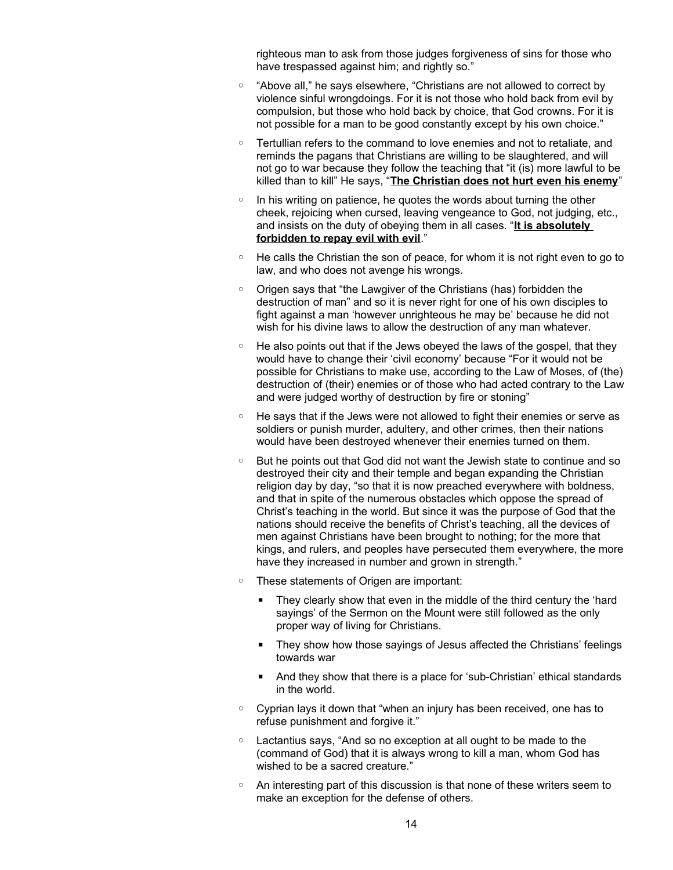righteous man to ask from those judges forgiveness of sins for those who have trespassed against him; and rightly so."

- "Above all," he says elsewhere, "Christians are not allowed to correct by violence sinful wrongdoings. For it is not those who hold back from evil by compulsion, but those who hold back by choice, that God crowns. For it is not possible for a man to be good constantly except by his own choice."
- Tertullian refers to the command to love enemies and not to retaliate, and reminds the pagans that Christians are willing to be slaughtered, and will not go to war because they follow the teaching that "it (is) more lawful to be killed than to kill" He says, "**The Christian does not hurt even his enemy**"
- In his writing on patience, he quotes the words about turning the other cheek, rejoicing when cursed, leaving vengeance to God, not judging, etc., and insists on the duty of obeying them in all cases. "**It is absolutely forbidden to repay evil with evil**."
- He calls the Christian the son of peace, for whom it is not right even to go to law, and who does not avenge his wrongs.
- Origen says that "the Lawgiver of the Christians (has) forbidden the destruction of man" and so it is never right for one of his own disciples to fight against a man 'however unrighteous he may be' because he did not wish for his divine laws to allow the destruction of any man whatever.
- He also points out that if the Jews obeyed the laws of the gospel, that they would have to change their 'civil economy' because "For it would not be possible for Christians to make use, according to the Law of Moses, of (the) destruction of (their) enemies or of those who had acted contrary to the Law and were judged worthy of destruction by fire or stoning"
- He says that if the Jews were not allowed to fight their enemies or serve as soldiers or punish murder, adultery, and other crimes, then their nations would have been destroyed whenever their enemies turned on them.
- But he points out that God did not want the Jewish state to continue and so destroyed their city and their temple and began expanding the Christian religion day by day, "so that it is now preached everywhere with boldness, and that in spite of the numerous obstacles which oppose the spread of Christ's teaching in the world. But since it was the purpose of God that the nations should receive the benefits of Christ's teaching, all the devices of men against Christians have been brought to nothing; for the more that kings, and rulers, and peoples have persecuted them everywhere, the more have they increased in number and grown in strength."
- These statements of Origen are important:
	- They clearly show that even in the middle of the third century the 'hard sayings' of the Sermon on the Mount were still followed as the only proper way of living for Christians.
	- They show how those sayings of Jesus affected the Christians' feelings towards war
	- And they show that there is a place for 'sub-Christian' ethical standards in the world.
- Cyprian lays it down that "when an injury has been received, one has to refuse punishment and forgive it."
- Lactantius says, "And so no exception at all ought to be made to the (command of God) that it is always wrong to kill a man, whom God has wished to be a sacred creature."
- An interesting part of this discussion is that none of these writers seem to make an exception for the defense of others.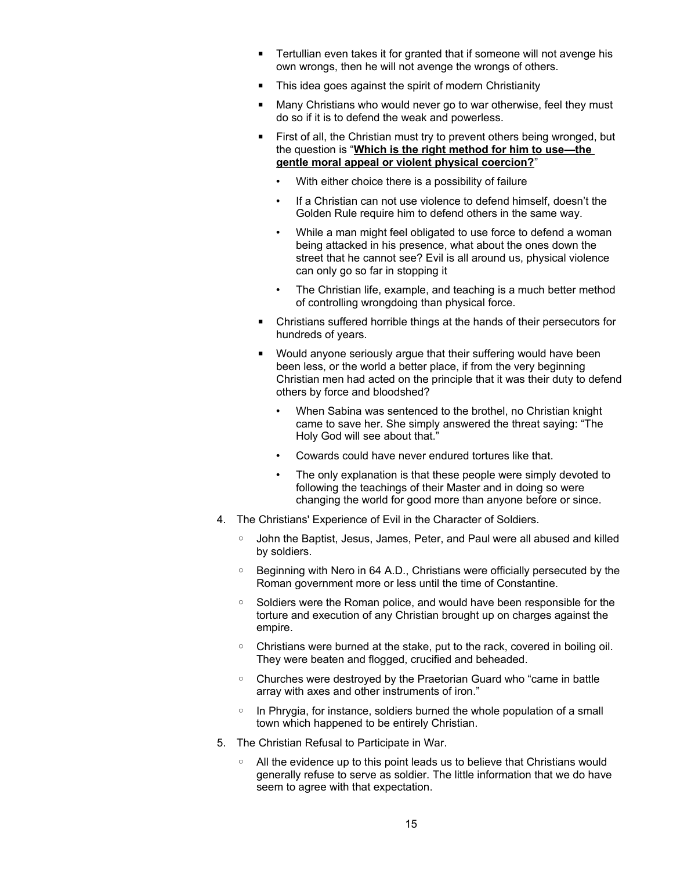- Tertullian even takes it for granted that if someone will not avenge his own wrongs, then he will not avenge the wrongs of others.
- This idea goes against the spirit of modern Christianity
- Many Christians who would never go to war otherwise, feel they must do so if it is to defend the weak and powerless.
- First of all, the Christian must try to prevent others being wronged, but the question is "**Which is the right method for him to use—the gentle moral appeal or violent physical coercion?**"
	- With either choice there is a possibility of failure
	- If a Christian can not use violence to defend himself, doesn't the Golden Rule require him to defend others in the same way.
	- While a man might feel obligated to use force to defend a woman being attacked in his presence, what about the ones down the street that he cannot see? Evil is all around us, physical violence can only go so far in stopping it
	- The Christian life, example, and teaching is a much better method of controlling wrongdoing than physical force.
- Christians suffered horrible things at the hands of their persecutors for hundreds of years.
- Would anyone seriously argue that their suffering would have been been less, or the world a better place, if from the very beginning Christian men had acted on the principle that it was their duty to defend others by force and bloodshed?
	- When Sabina was sentenced to the brothel, no Christian knight came to save her. She simply answered the threat saying: "The Holy God will see about that."
	- Cowards could have never endured tortures like that.
	- The only explanation is that these people were simply devoted to following the teachings of their Master and in doing so were changing the world for good more than anyone before or since.
- 4. The Christians' Experience of Evil in the Character of Soldiers.
	- John the Baptist, Jesus, James, Peter, and Paul were all abused and killed by soldiers.
	- Beginning with Nero in 64 A.D., Christians were officially persecuted by the Roman government more or less until the time of Constantine.
	- Soldiers were the Roman police, and would have been responsible for the torture and execution of any Christian brought up on charges against the empire.
	- Christians were burned at the stake, put to the rack, covered in boiling oil. They were beaten and flogged, crucified and beheaded.
	- Churches were destroyed by the Praetorian Guard who "came in battle array with axes and other instruments of iron."
	- In Phrygia, for instance, soldiers burned the whole population of a small town which happened to be entirely Christian.
- 5. The Christian Refusal to Participate in War.
	- All the evidence up to this point leads us to believe that Christians would generally refuse to serve as soldier. The little information that we do have seem to agree with that expectation.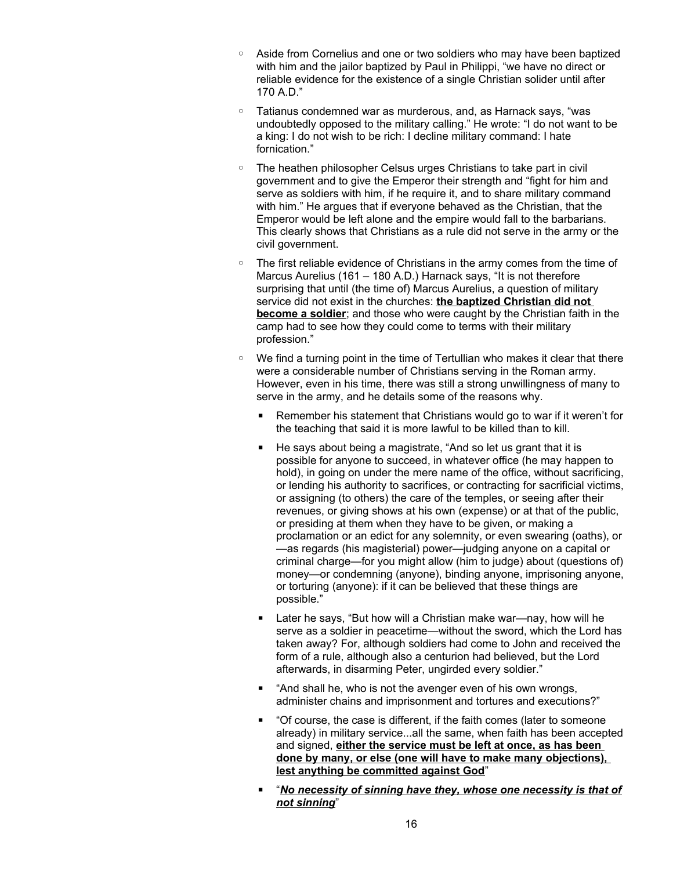- Aside from Cornelius and one or two soldiers who may have been baptized with him and the jailor baptized by Paul in Philippi, "we have no direct or reliable evidence for the existence of a single Christian solider until after 170 A.D."
- Tatianus condemned war as murderous, and, as Harnack says, "was undoubtedly opposed to the military calling." He wrote: "I do not want to be a king: I do not wish to be rich: I decline military command: I hate fornication."
- The heathen philosopher Celsus urges Christians to take part in civil government and to give the Emperor their strength and "fight for him and serve as soldiers with him, if he require it, and to share military command with him." He argues that if everyone behaved as the Christian, that the Emperor would be left alone and the empire would fall to the barbarians. This clearly shows that Christians as a rule did not serve in the army or the civil government.
- The first reliable evidence of Christians in the army comes from the time of Marcus Aurelius (161 – 180 A.D.) Harnack says, "It is not therefore surprising that until (the time of) Marcus Aurelius, a question of military service did not exist in the churches: **the baptized Christian did not become a soldier**; and those who were caught by the Christian faith in the camp had to see how they could come to terms with their military profession."
- We find a turning point in the time of Tertullian who makes it clear that there were a considerable number of Christians serving in the Roman army. However, even in his time, there was still a strong unwillingness of many to serve in the army, and he details some of the reasons why.
	- Remember his statement that Christians would go to war if it weren't for the teaching that said it is more lawful to be killed than to kill.
	- He says about being a magistrate, "And so let us grant that it is possible for anyone to succeed, in whatever office (he may happen to hold), in going on under the mere name of the office, without sacrificing, or lending his authority to sacrifices, or contracting for sacrificial victims, or assigning (to others) the care of the temples, or seeing after their revenues, or giving shows at his own (expense) or at that of the public, or presiding at them when they have to be given, or making a proclamation or an edict for any solemnity, or even swearing (oaths), or —as regards (his magisterial) power—judging anyone on a capital or criminal charge—for you might allow (him to judge) about (questions of) money—or condemning (anyone), binding anyone, imprisoning anyone, or torturing (anyone): if it can be believed that these things are possible."
	- Later he says, "But how will a Christian make war—nay, how will he serve as a soldier in peacetime—without the sword, which the Lord has taken away? For, although soldiers had come to John and received the form of a rule, although also a centurion had believed, but the Lord afterwards, in disarming Peter, ungirded every soldier."
	- "And shall he, who is not the avenger even of his own wrongs, administer chains and imprisonment and tortures and executions?"
	- "Of course, the case is different, if the faith comes (later to someone already) in military service...all the same, when faith has been accepted and signed, **either the service must be left at once, as has been done by many, or else (one will have to make many objections), lest anything be committed against God**"
	- "*No necessity of sinning have they, whose one necessity is that of not sinning*"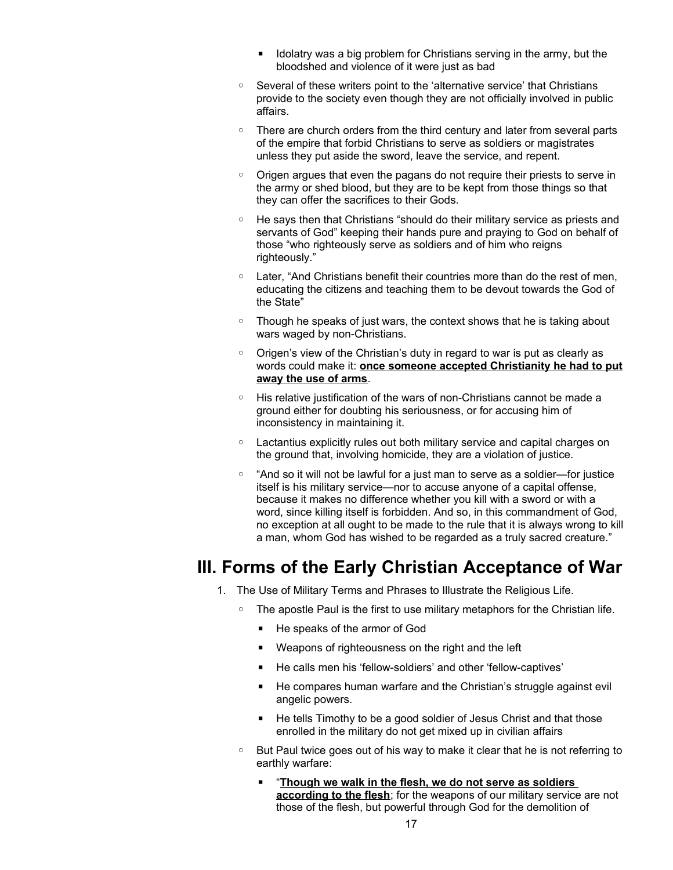- Idolatry was a big problem for Christians serving in the army, but the bloodshed and violence of it were just as bad
- Several of these writers point to the 'alternative service' that Christians provide to the society even though they are not officially involved in public affairs.
- There are church orders from the third century and later from several parts of the empire that forbid Christians to serve as soldiers or magistrates unless they put aside the sword, leave the service, and repent.
- Origen argues that even the pagans do not require their priests to serve in the army or shed blood, but they are to be kept from those things so that they can offer the sacrifices to their Gods.
- He says then that Christians "should do their military service as priests and servants of God" keeping their hands pure and praying to God on behalf of those "who righteously serve as soldiers and of him who reigns righteously."
- Later, "And Christians benefit their countries more than do the rest of men, educating the citizens and teaching them to be devout towards the God of the State"
- Though he speaks of just wars, the context shows that he is taking about wars waged by non-Christians.
- Origen's view of the Christian's duty in regard to war is put as clearly as words could make it: **once someone accepted Christianity he had to put away the use of arms**.
- His relative justification of the wars of non-Christians cannot be made a ground either for doubting his seriousness, or for accusing him of inconsistency in maintaining it.
- Lactantius explicitly rules out both military service and capital charges on the ground that, involving homicide, they are a violation of justice.
- "And so it will not be lawful for a just man to serve as a soldier—for justice itself is his military service—nor to accuse anyone of a capital offense, because it makes no difference whether you kill with a sword or with a word, since killing itself is forbidden. And so, in this commandment of God, no exception at all ought to be made to the rule that it is always wrong to kill a man, whom God has wished to be regarded as a truly sacred creature."

### **III. Forms of the Early Christian Acceptance of War**

- 1. The Use of Military Terms and Phrases to Illustrate the Religious Life.
	- The apostle Paul is the first to use military metaphors for the Christian life.
		- He speaks of the armor of God
		- Weapons of righteousness on the right and the left
		- He calls men his 'fellow-soldiers' and other 'fellow-captives'
		- He compares human warfare and the Christian's struggle against evil angelic powers.
		- He tells Timothy to be a good soldier of Jesus Christ and that those enrolled in the military do not get mixed up in civilian affairs
		- But Paul twice goes out of his way to make it clear that he is not referring to earthly warfare:
			- "**Though we walk in the flesh, we do not serve as soldiers according to the flesh**; for the weapons of our military service are not those of the flesh, but powerful through God for the demolition of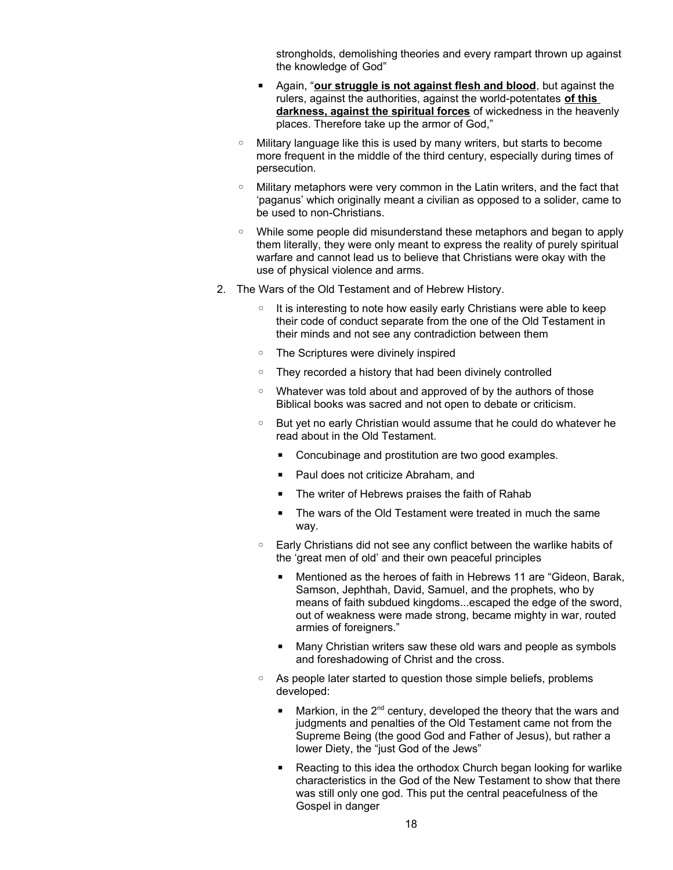strongholds, demolishing theories and every rampart thrown up against the knowledge of God"

- Again, "**our struggle is not against flesh and blood**, but against the rulers, against the authorities, against the world-potentates **of this darkness, against the spiritual forces** of wickedness in the heavenly places. Therefore take up the armor of God,"
- Military language like this is used by many writers, but starts to become more frequent in the middle of the third century, especially during times of persecution.
- Military metaphors were very common in the Latin writers, and the fact that 'paganus' which originally meant a civilian as opposed to a solider, came to be used to non-Christians.
- While some people did misunderstand these metaphors and began to apply them literally, they were only meant to express the reality of purely spiritual warfare and cannot lead us to believe that Christians were okay with the use of physical violence and arms.
- 2. The Wars of the Old Testament and of Hebrew History.
	- It is interesting to note how easily early Christians were able to keep their code of conduct separate from the one of the Old Testament in their minds and not see any contradiction between them
	- The Scriptures were divinely inspired
	- They recorded a history that had been divinely controlled
	- Whatever was told about and approved of by the authors of those Biblical books was sacred and not open to debate or criticism.
	- But yet no early Christian would assume that he could do whatever he read about in the Old Testament.
		- Concubinage and prostitution are two good examples.
		- Paul does not criticize Abraham, and
		- The writer of Hebrews praises the faith of Rahab
		- The wars of the Old Testament were treated in much the same way.
	- Early Christians did not see any conflict between the warlike habits of the 'great men of old' and their own peaceful principles
		- Mentioned as the heroes of faith in Hebrews 11 are "Gideon, Barak, Samson, Jephthah, David, Samuel, and the prophets, who by means of faith subdued kingdoms...escaped the edge of the sword, out of weakness were made strong, became mighty in war, routed armies of foreigners."
		- Many Christian writers saw these old wars and people as symbols and foreshadowing of Christ and the cross.
	- As people later started to question those simple beliefs, problems developed:
		- Markion, in the  $2<sup>nd</sup>$  century, developed the theory that the wars and judgments and penalties of the Old Testament came not from the Supreme Being (the good God and Father of Jesus), but rather a lower Diety, the "just God of the Jews"
		- Reacting to this idea the orthodox Church began looking for warlike characteristics in the God of the New Testament to show that there was still only one god. This put the central peacefulness of the Gospel in danger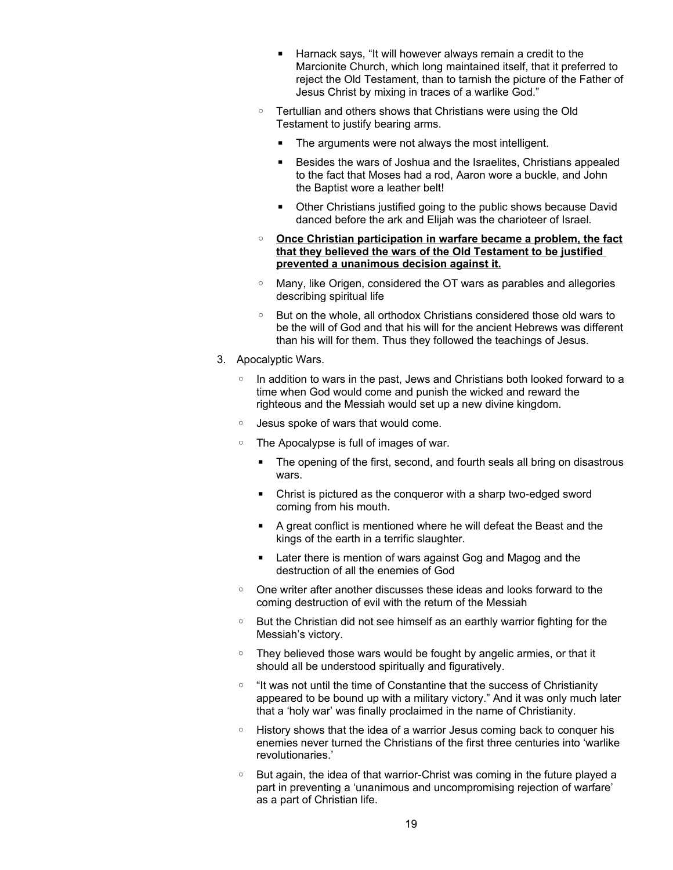- Harnack says, "It will however always remain a credit to the Marcionite Church, which long maintained itself, that it preferred to reject the Old Testament, than to tarnish the picture of the Father of Jesus Christ by mixing in traces of a warlike God."
- Tertullian and others shows that Christians were using the Old Testament to justify bearing arms.
	- The arguments were not always the most intelligent.
	- Besides the wars of Joshua and the Israelites, Christians appealed to the fact that Moses had a rod, Aaron wore a buckle, and John the Baptist wore a leather belt!
	- Other Christians justified going to the public shows because David danced before the ark and Elijah was the charioteer of Israel.
- ◦ **Once Christian participation in warfare became a problem, the fact that they believed the wars of the Old Testament to be justified prevented a unanimous decision against it.**
- Many, like Origen, considered the OT wars as parables and allegories describing spiritual life
- But on the whole, all orthodox Christians considered those old wars to be the will of God and that his will for the ancient Hebrews was different than his will for them. Thus they followed the teachings of Jesus.
- 3. Apocalyptic Wars.
	- In addition to wars in the past, Jews and Christians both looked forward to a time when God would come and punish the wicked and reward the righteous and the Messiah would set up a new divine kingdom.
	- Jesus spoke of wars that would come.
	- The Apocalypse is full of images of war.
		- The opening of the first, second, and fourth seals all bring on disastrous wars.
		- Christ is pictured as the conqueror with a sharp two-edged sword coming from his mouth.
		- A great conflict is mentioned where he will defeat the Beast and the kings of the earth in a terrific slaughter.
		- Later there is mention of wars against Gog and Magog and the destruction of all the enemies of God
	- One writer after another discusses these ideas and looks forward to the coming destruction of evil with the return of the Messiah
	- But the Christian did not see himself as an earthly warrior fighting for the Messiah's victory.
	- They believed those wars would be fought by angelic armies, or that it should all be understood spiritually and figuratively.
	- "It was not until the time of Constantine that the success of Christianity appeared to be bound up with a military victory." And it was only much later that a 'holy war' was finally proclaimed in the name of Christianity.
	- History shows that the idea of a warrior Jesus coming back to conquer his enemies never turned the Christians of the first three centuries into 'warlike revolutionaries.'
	- But again, the idea of that warrior-Christ was coming in the future played a part in preventing a 'unanimous and uncompromising rejection of warfare' as a part of Christian life.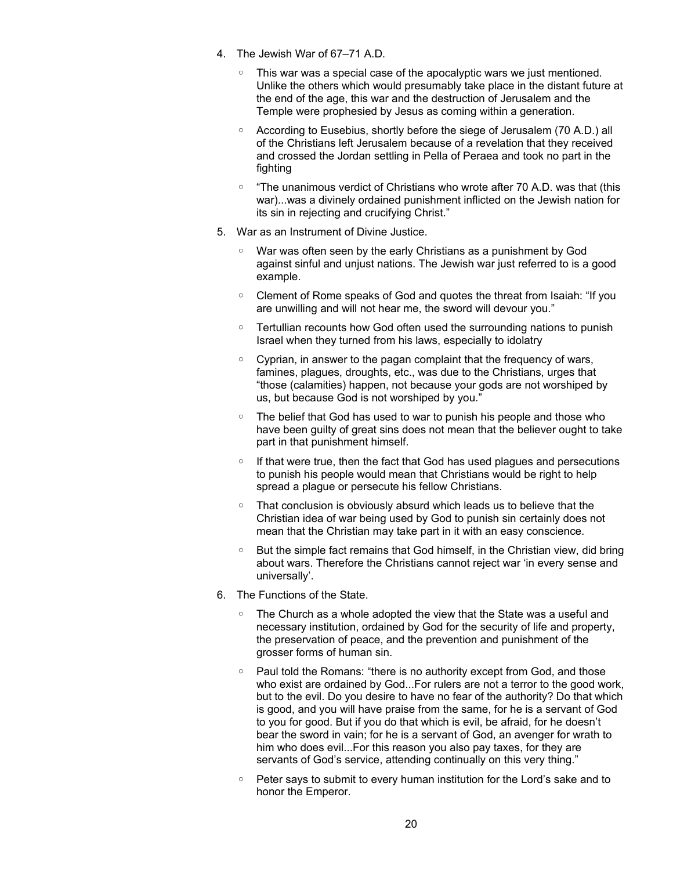- 4. The Jewish War of 67–71 A.D.
	- This war was a special case of the apocalyptic wars we just mentioned. Unlike the others which would presumably take place in the distant future at the end of the age, this war and the destruction of Jerusalem and the Temple were prophesied by Jesus as coming within a generation.
	- According to Eusebius, shortly before the siege of Jerusalem (70 A.D.) all of the Christians left Jerusalem because of a revelation that they received and crossed the Jordan settling in Pella of Peraea and took no part in the fighting
	- "The unanimous verdict of Christians who wrote after 70 A.D. was that (this war)...was a divinely ordained punishment inflicted on the Jewish nation for its sin in rejecting and crucifying Christ."
- 5. War as an Instrument of Divine Justice.
	- War was often seen by the early Christians as a punishment by God against sinful and unjust nations. The Jewish war just referred to is a good example.
	- Clement of Rome speaks of God and quotes the threat from Isaiah: "If you are unwilling and will not hear me, the sword will devour you."
	- Tertullian recounts how God often used the surrounding nations to punish Israel when they turned from his laws, especially to idolatry
	- Cyprian, in answer to the pagan complaint that the frequency of wars, famines, plagues, droughts, etc., was due to the Christians, urges that "those (calamities) happen, not because your gods are not worshiped by us, but because God is not worshiped by you."
	- The belief that God has used to war to punish his people and those who have been guilty of great sins does not mean that the believer ought to take part in that punishment himself.
	- If that were true, then the fact that God has used plagues and persecutions to punish his people would mean that Christians would be right to help spread a plague or persecute his fellow Christians.
	- That conclusion is obviously absurd which leads us to believe that the Christian idea of war being used by God to punish sin certainly does not mean that the Christian may take part in it with an easy conscience.
	- But the simple fact remains that God himself, in the Christian view, did bring about wars. Therefore the Christians cannot reject war 'in every sense and universally'.
- 6. The Functions of the State.
	- The Church as a whole adopted the view that the State was a useful and necessary institution, ordained by God for the security of life and property, the preservation of peace, and the prevention and punishment of the grosser forms of human sin.
	- Paul told the Romans: "there is no authority except from God, and those who exist are ordained by God...For rulers are not a terror to the good work, but to the evil. Do you desire to have no fear of the authority? Do that which is good, and you will have praise from the same, for he is a servant of God to you for good. But if you do that which is evil, be afraid, for he doesn't bear the sword in vain; for he is a servant of God, an avenger for wrath to him who does evil...For this reason you also pay taxes, for they are servants of God's service, attending continually on this very thing."
	- Peter says to submit to every human institution for the Lord's sake and to honor the Emperor.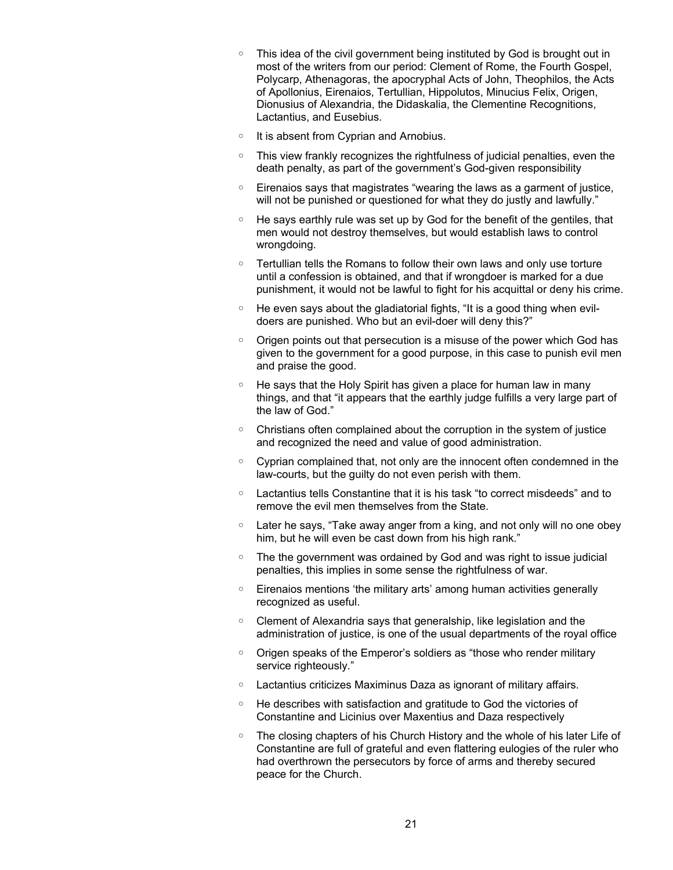- This idea of the civil government being instituted by God is brought out in most of the writers from our period: Clement of Rome, the Fourth Gospel, Polycarp, Athenagoras, the apocryphal Acts of John, Theophilos, the Acts of Apollonius, Eirenaios, Tertullian, Hippolutos, Minucius Felix, Origen, Dionusius of Alexandria, the Didaskalia, the Clementine Recognitions, Lactantius, and Eusebius.
- It is absent from Cyprian and Arnobius.
- This view frankly recognizes the rightfulness of judicial penalties, even the death penalty, as part of the government's God-given responsibility
- Eirenaios says that magistrates "wearing the laws as a garment of justice, will not be punished or questioned for what they do justly and lawfully."
- He says earthly rule was set up by God for the benefit of the gentiles, that men would not destroy themselves, but would establish laws to control wrongdoing.
- Tertullian tells the Romans to follow their own laws and only use torture until a confession is obtained, and that if wrongdoer is marked for a due punishment, it would not be lawful to fight for his acquittal or deny his crime.
- He even says about the gladiatorial fights, "It is a good thing when evildoers are punished. Who but an evil-doer will deny this?"
- Origen points out that persecution is a misuse of the power which God has given to the government for a good purpose, in this case to punish evil men and praise the good.
- He says that the Holy Spirit has given a place for human law in many things, and that "it appears that the earthly judge fulfills a very large part of the law of God."
- Christians often complained about the corruption in the system of justice and recognized the need and value of good administration.
- Cyprian complained that, not only are the innocent often condemned in the law-courts, but the guilty do not even perish with them.
- Lactantius tells Constantine that it is his task "to correct misdeeds" and to remove the evil men themselves from the State.
- Later he says, "Take away anger from a king, and not only will no one obey him, but he will even be cast down from his high rank."
- The the government was ordained by God and was right to issue judicial penalties, this implies in some sense the rightfulness of war.
- Eirenaios mentions 'the military arts' among human activities generally recognized as useful.
- Clement of Alexandria says that generalship, like legislation and the administration of justice, is one of the usual departments of the royal office
- Origen speaks of the Emperor's soldiers as "those who render military service righteously."
- Lactantius criticizes Maximinus Daza as ignorant of military affairs.
- He describes with satisfaction and gratitude to God the victories of Constantine and Licinius over Maxentius and Daza respectively
- The closing chapters of his Church History and the whole of his later Life of Constantine are full of grateful and even flattering eulogies of the ruler who had overthrown the persecutors by force of arms and thereby secured peace for the Church.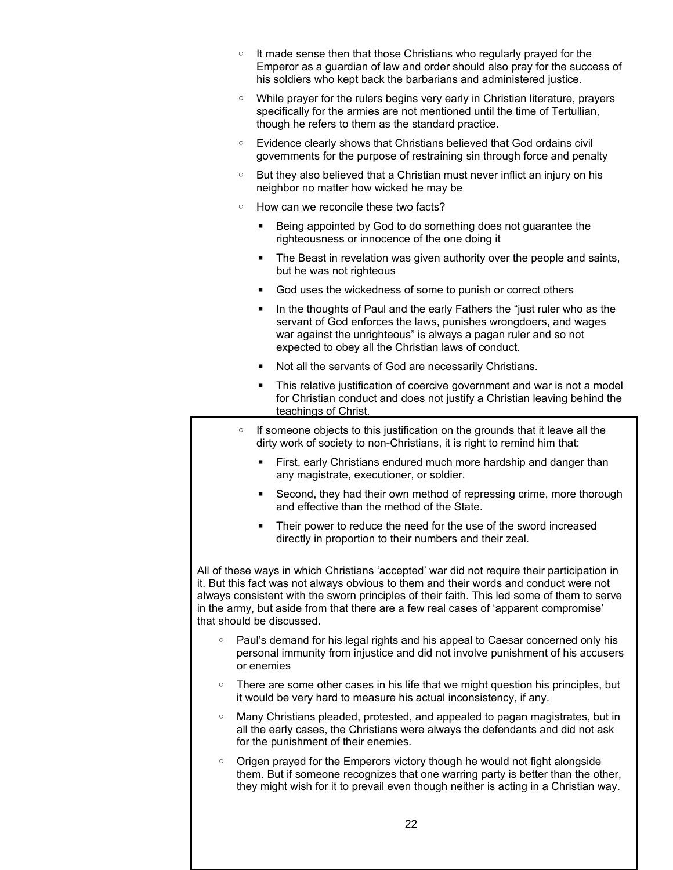|                                                                                                                                                                                                                                                                                                                                                                                                         | $\circ$ | It made sense then that those Christians who regularly prayed for the<br>Emperor as a guardian of law and order should also pray for the success of<br>his soldiers who kept back the barbarians and administered justice.                                             |
|---------------------------------------------------------------------------------------------------------------------------------------------------------------------------------------------------------------------------------------------------------------------------------------------------------------------------------------------------------------------------------------------------------|---------|------------------------------------------------------------------------------------------------------------------------------------------------------------------------------------------------------------------------------------------------------------------------|
|                                                                                                                                                                                                                                                                                                                                                                                                         | $\circ$ | While prayer for the rulers begins very early in Christian literature, prayers<br>specifically for the armies are not mentioned until the time of Tertullian,<br>though he refers to them as the standard practice.                                                    |
|                                                                                                                                                                                                                                                                                                                                                                                                         | $\circ$ | Evidence clearly shows that Christians believed that God ordains civil<br>governments for the purpose of restraining sin through force and penalty                                                                                                                     |
|                                                                                                                                                                                                                                                                                                                                                                                                         | $\circ$ | But they also believed that a Christian must never inflict an injury on his<br>neighbor no matter how wicked he may be                                                                                                                                                 |
|                                                                                                                                                                                                                                                                                                                                                                                                         | $\circ$ | How can we reconcile these two facts?                                                                                                                                                                                                                                  |
|                                                                                                                                                                                                                                                                                                                                                                                                         |         | Being appointed by God to do something does not guarantee the<br>٠<br>righteousness or innocence of the one doing it                                                                                                                                                   |
|                                                                                                                                                                                                                                                                                                                                                                                                         |         | The Beast in revelation was given authority over the people and saints,<br>п<br>but he was not righteous                                                                                                                                                               |
|                                                                                                                                                                                                                                                                                                                                                                                                         |         | God uses the wickedness of some to punish or correct others<br>٠                                                                                                                                                                                                       |
|                                                                                                                                                                                                                                                                                                                                                                                                         |         | In the thoughts of Paul and the early Fathers the "just ruler who as the<br>servant of God enforces the laws, punishes wrongdoers, and wages<br>war against the unrighteous" is always a pagan ruler and so not<br>expected to obey all the Christian laws of conduct. |
|                                                                                                                                                                                                                                                                                                                                                                                                         |         | Not all the servants of God are necessarily Christians.<br>п                                                                                                                                                                                                           |
|                                                                                                                                                                                                                                                                                                                                                                                                         |         | This relative justification of coercive government and war is not a model<br>п<br>for Christian conduct and does not justify a Christian leaving behind the<br>teachings of Christ.                                                                                    |
|                                                                                                                                                                                                                                                                                                                                                                                                         | $\circ$ | If someone objects to this justification on the grounds that it leave all the<br>dirty work of society to non-Christians, it is right to remind him that:                                                                                                              |
|                                                                                                                                                                                                                                                                                                                                                                                                         |         | First, early Christians endured much more hardship and danger than<br>п<br>any magistrate, executioner, or soldier.                                                                                                                                                    |
|                                                                                                                                                                                                                                                                                                                                                                                                         |         | Second, they had their own method of repressing crime, more thorough<br>٠<br>and effective than the method of the State.                                                                                                                                               |
|                                                                                                                                                                                                                                                                                                                                                                                                         |         | Their power to reduce the need for the use of the sword increased<br>directly in proportion to their numbers and their zeal.                                                                                                                                           |
| All of these ways in which Christians 'accepted' war did not require their participation in<br>it. But this fact was not always obvious to them and their words and conduct were not<br>always consistent with the sworn principles of their faith. This led some of them to serve<br>in the army, but aside from that there are a few real cases of 'apparent compromise'<br>that should be discussed. |         |                                                                                                                                                                                                                                                                        |
|                                                                                                                                                                                                                                                                                                                                                                                                         | $\circ$ | Paul's demand for his legal rights and his appeal to Caesar concerned only his<br>personal immunity from injustice and did not involve punishment of his accusers<br>or enemies                                                                                        |
|                                                                                                                                                                                                                                                                                                                                                                                                         | $\circ$ | There are some other cases in his life that we might question his principles, but<br>it would be very hard to measure his actual inconsistency, if any.                                                                                                                |
|                                                                                                                                                                                                                                                                                                                                                                                                         | $\circ$ | Many Christians pleaded, protested, and appealed to pagan magistrates, but in<br>all the early cases, the Christians were always the defendants and did not ask<br>for the punishment of their enemies.                                                                |
|                                                                                                                                                                                                                                                                                                                                                                                                         | $\circ$ | Origen prayed for the Emperors victory though he would not fight alongside<br>them. But if someone recognizes that one warring party is better than the other,<br>they might wish for it to prevail even though neither is acting in a Christian way.                  |
|                                                                                                                                                                                                                                                                                                                                                                                                         |         | 22                                                                                                                                                                                                                                                                     |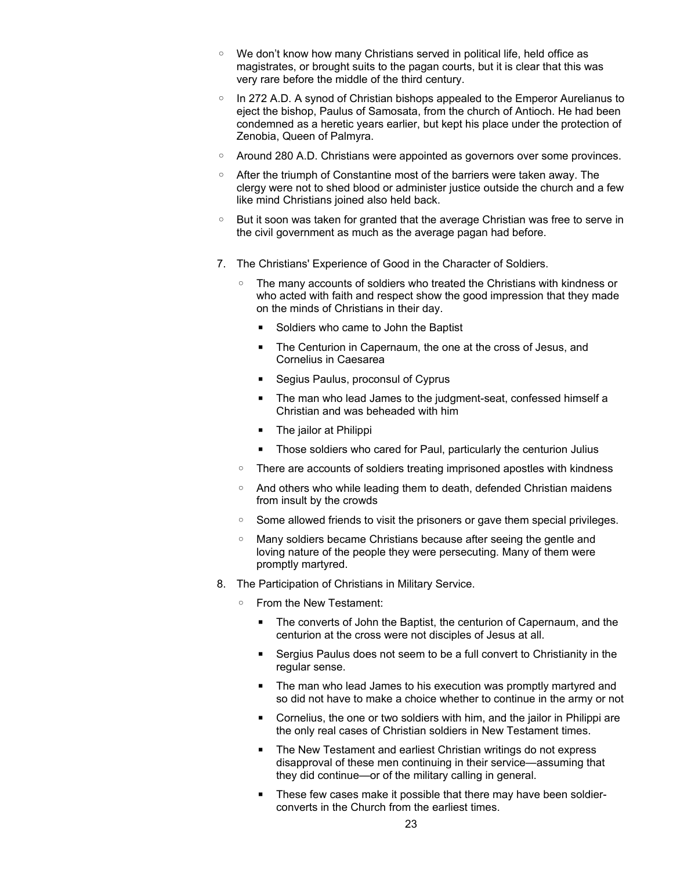- We don't know how many Christians served in political life, held office as magistrates, or brought suits to the pagan courts, but it is clear that this was very rare before the middle of the third century.
- In 272 A.D. A synod of Christian bishops appealed to the Emperor Aurelianus to eject the bishop, Paulus of Samosata, from the church of Antioch. He had been condemned as a heretic years earlier, but kept his place under the protection of Zenobia, Queen of Palmyra.
- Around 280 A.D. Christians were appointed as governors over some provinces.
- After the triumph of Constantine most of the barriers were taken away. The clergy were not to shed blood or administer justice outside the church and a few like mind Christians joined also held back.
- But it soon was taken for granted that the average Christian was free to serve in the civil government as much as the average pagan had before.
- 7. The Christians' Experience of Good in the Character of Soldiers.
	- The many accounts of soldiers who treated the Christians with kindness or who acted with faith and respect show the good impression that they made on the minds of Christians in their day.
		- Soldiers who came to John the Baptist
		- The Centurion in Capernaum, the one at the cross of Jesus, and Cornelius in Caesarea
		- Segius Paulus, proconsul of Cyprus
		- The man who lead James to the judgment-seat, confessed himself a Christian and was beheaded with him
		- The jailor at Philippi
		- Those soldiers who cared for Paul, particularly the centurion Julius
	- There are accounts of soldiers treating imprisoned apostles with kindness
	- And others who while leading them to death, defended Christian maidens from insult by the crowds
	- Some allowed friends to visit the prisoners or gave them special privileges.
	- Many soldiers became Christians because after seeing the gentle and loving nature of the people they were persecuting. Many of them were promptly martyred.
- 8. The Participation of Christians in Military Service.
	- From the New Testament:
		- The converts of John the Baptist, the centurion of Capernaum, and the centurion at the cross were not disciples of Jesus at all.
		- Sergius Paulus does not seem to be a full convert to Christianity in the regular sense.
		- The man who lead James to his execution was promptly martyred and so did not have to make a choice whether to continue in the army or not
		- Cornelius, the one or two soldiers with him, and the jailor in Philippi are the only real cases of Christian soldiers in New Testament times.
		- The New Testament and earliest Christian writings do not express disapproval of these men continuing in their service—assuming that they did continue—or of the military calling in general.
		- These few cases make it possible that there may have been soldierconverts in the Church from the earliest times.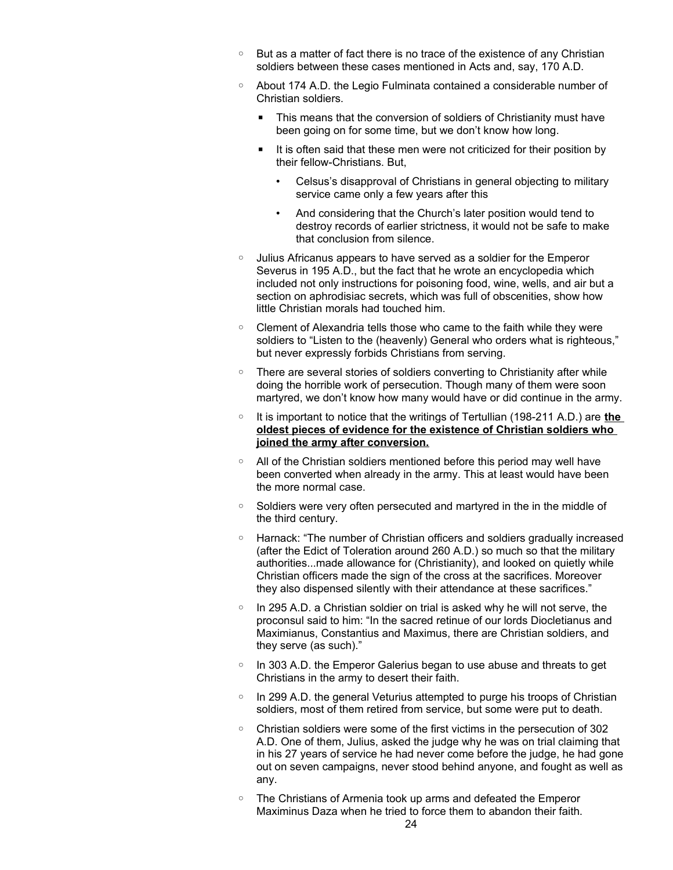- But as a matter of fact there is no trace of the existence of any Christian soldiers between these cases mentioned in Acts and, say, 170 A.D.
- About 174 A.D. the Legio Fulminata contained a considerable number of Christian soldiers.
	- This means that the conversion of soldiers of Christianity must have been going on for some time, but we don't know how long.
	- It is often said that these men were not criticized for their position by their fellow-Christians. But,
		- Celsus's disapproval of Christians in general objecting to military service came only a few years after this
		- And considering that the Church's later position would tend to destroy records of earlier strictness, it would not be safe to make that conclusion from silence.
- Julius Africanus appears to have served as a soldier for the Emperor Severus in 195 A.D., but the fact that he wrote an encyclopedia which included not only instructions for poisoning food, wine, wells, and air but a section on aphrodisiac secrets, which was full of obscenities, show how little Christian morals had touched him.
- Clement of Alexandria tells those who came to the faith while they were soldiers to "Listen to the (heavenly) General who orders what is righteous," but never expressly forbids Christians from serving.
- There are several stories of soldiers converting to Christianity after while doing the horrible work of persecution. Though many of them were soon martyred, we don't know how many would have or did continue in the army.
- It is important to notice that the writings of Tertullian (198-211 A.D.) are **the oldest pieces of evidence for the existence of Christian soldiers who joined the army after conversion.**
- All of the Christian soldiers mentioned before this period may well have been converted when already in the army. This at least would have been the more normal case.
- Soldiers were very often persecuted and martyred in the in the middle of the third century.
- Harnack: "The number of Christian officers and soldiers gradually increased (after the Edict of Toleration around 260 A.D.) so much so that the military authorities...made allowance for (Christianity), and looked on quietly while Christian officers made the sign of the cross at the sacrifices. Moreover they also dispensed silently with their attendance at these sacrifices."
- In 295 A.D. a Christian soldier on trial is asked why he will not serve, the proconsul said to him: "In the sacred retinue of our lords Diocletianus and Maximianus, Constantius and Maximus, there are Christian soldiers, and they serve (as such)."
- In 303 A.D. the Emperor Galerius began to use abuse and threats to get Christians in the army to desert their faith.
- In 299 A.D. the general Veturius attempted to purge his troops of Christian soldiers, most of them retired from service, but some were put to death.
- Christian soldiers were some of the first victims in the persecution of 302 A.D. One of them, Julius, asked the judge why he was on trial claiming that in his 27 years of service he had never come before the judge, he had gone out on seven campaigns, never stood behind anyone, and fought as well as any.
- The Christians of Armenia took up arms and defeated the Emperor Maximinus Daza when he tried to force them to abandon their faith.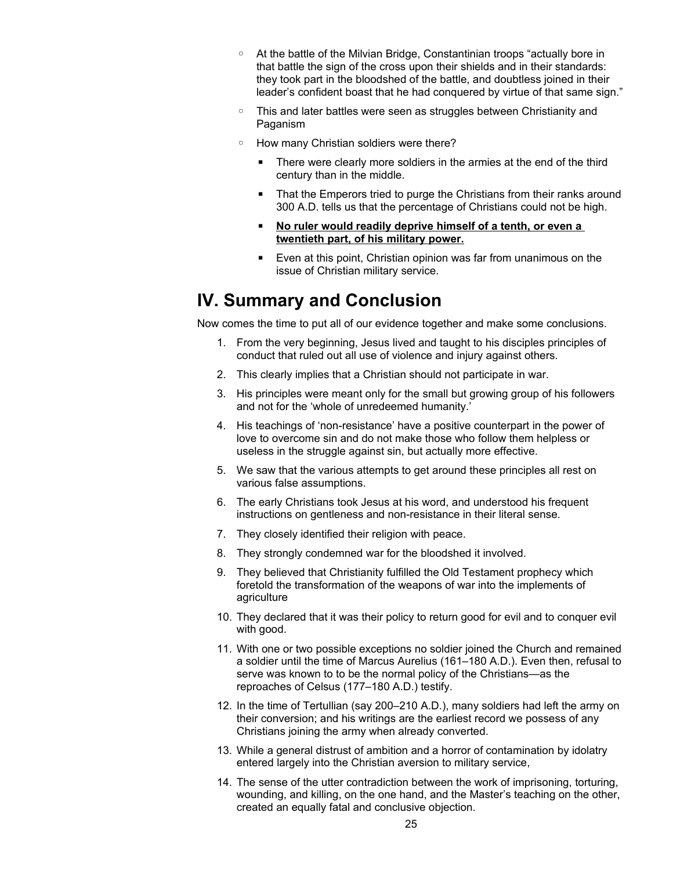- At the battle of the Milvian Bridge, Constantinian troops "actually bore in that battle the sign of the cross upon their shields and in their standards: they took part in the bloodshed of the battle, and doubtless joined in their leader's confident boast that he had conquered by virtue of that same sign."
- This and later battles were seen as struggles between Christianity and Paganism
- How many Christian soldiers were there?
	- There were clearly more soldiers in the armies at the end of the third century than in the middle.
	- That the Emperors tried to purge the Christians from their ranks around 300 A.D. tells us that the percentage of Christians could not be high.
	- No ruler would readily deprive himself of a tenth, or even a **twentieth part, of his military power.**
	- Even at this point, Christian opinion was far from unanimous on the issue of Christian military service.

### **IV. Summary and Conclusion**

Now comes the time to put all of our evidence together and make some conclusions.

- 1. From the very beginning, Jesus lived and taught to his disciples principles of conduct that ruled out all use of violence and injury against others.
- 2. This clearly implies that a Christian should not participate in war.
- 3. His principles were meant only for the small but growing group of his followers and not for the 'whole of unredeemed humanity.'
- 4. His teachings of 'non-resistance' have a positive counterpart in the power of love to overcome sin and do not make those who follow them helpless or useless in the struggle against sin, but actually more effective.
- 5. We saw that the various attempts to get around these principles all rest on various false assumptions.
- 6. The early Christians took Jesus at his word, and understood his frequent instructions on gentleness and non-resistance in their literal sense.
- 7. They closely identified their religion with peace.
- 8. They strongly condemned war for the bloodshed it involved.
- 9. They believed that Christianity fulfilled the Old Testament prophecy which foretold the transformation of the weapons of war into the implements of agriculture
- 10. They declared that it was their policy to return good for evil and to conquer evil with good.
- 11. With one or two possible exceptions no soldier joined the Church and remained a soldier until the time of Marcus Aurelius (161–180 A.D.). Even then, refusal to serve was known to to be the normal policy of the Christians—as the reproaches of Celsus (177–180 A.D.) testify.
- 12. In the time of Tertullian (say 200–210 A.D.), many soldiers had left the army on their conversion; and his writings are the earliest record we possess of any Christians joining the army when already converted.
- 13. While a general distrust of ambition and a horror of contamination by idolatry entered largely into the Christian aversion to military service,
- 14. The sense of the utter contradiction between the work of imprisoning, torturing, wounding, and killing, on the one hand, and the Master's teaching on the other, created an equally fatal and conclusive objection.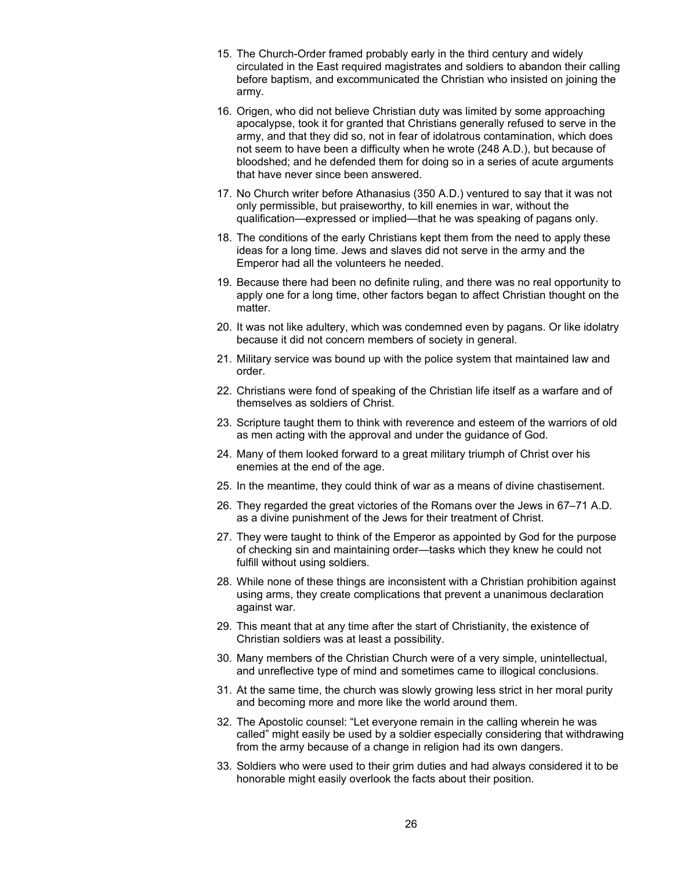- 15. The Church-Order framed probably early in the third century and widely circulated in the East required magistrates and soldiers to abandon their calling before baptism, and excommunicated the Christian who insisted on joining the army.
- 16. Origen, who did not believe Christian duty was limited by some approaching apocalypse, took it for granted that Christians generally refused to serve in the army, and that they did so, not in fear of idolatrous contamination, which does not seem to have been a difficulty when he wrote (248 A.D.), but because of bloodshed; and he defended them for doing so in a series of acute arguments that have never since been answered.
- 17. No Church writer before Athanasius (350 A.D.) ventured to say that it was not only permissible, but praiseworthy, to kill enemies in war, without the qualification—expressed or implied—that he was speaking of pagans only.
- 18. The conditions of the early Christians kept them from the need to apply these ideas for a long time. Jews and slaves did not serve in the army and the Emperor had all the volunteers he needed.
- 19. Because there had been no definite ruling, and there was no real opportunity to apply one for a long time, other factors began to affect Christian thought on the matter.
- 20. It was not like adultery, which was condemned even by pagans. Or like idolatry because it did not concern members of society in general.
- 21. Military service was bound up with the police system that maintained law and order.
- 22. Christians were fond of speaking of the Christian life itself as a warfare and of themselves as soldiers of Christ.
- 23. Scripture taught them to think with reverence and esteem of the warriors of old as men acting with the approval and under the guidance of God.
- 24. Many of them looked forward to a great military triumph of Christ over his enemies at the end of the age.
- 25. In the meantime, they could think of war as a means of divine chastisement.
- 26. They regarded the great victories of the Romans over the Jews in 67–71 A.D. as a divine punishment of the Jews for their treatment of Christ.
- 27. They were taught to think of the Emperor as appointed by God for the purpose of checking sin and maintaining order—tasks which they knew he could not fulfill without using soldiers.
- 28. While none of these things are inconsistent with a Christian prohibition against using arms, they create complications that prevent a unanimous declaration against war.
- 29. This meant that at any time after the start of Christianity, the existence of Christian soldiers was at least a possibility.
- 30. Many members of the Christian Church were of a very simple, unintellectual, and unreflective type of mind and sometimes came to illogical conclusions.
- 31. At the same time, the church was slowly growing less strict in her moral purity and becoming more and more like the world around them.
- 32. The Apostolic counsel: "Let everyone remain in the calling wherein he was called" might easily be used by a soldier especially considering that withdrawing from the army because of a change in religion had its own dangers.
- 33. Soldiers who were used to their grim duties and had always considered it to be honorable might easily overlook the facts about their position.